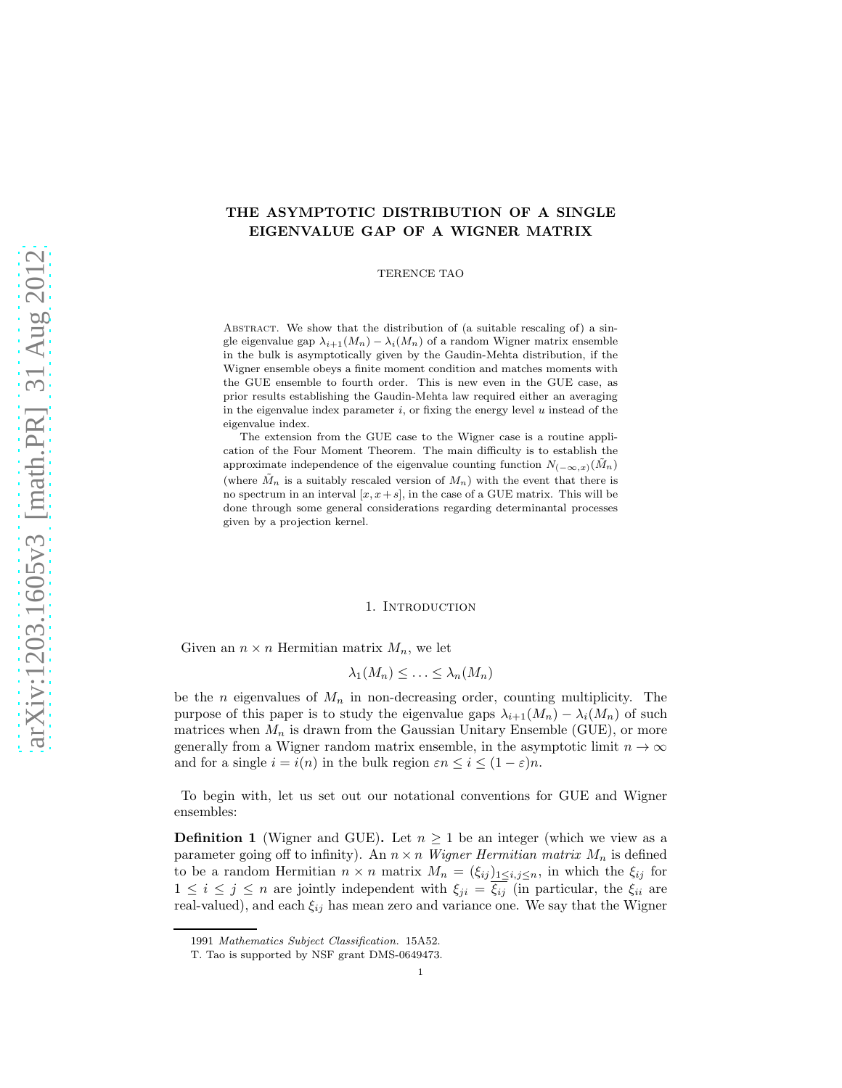# THE ASYMPTOTIC DISTRIBUTION OF A SINGLE EIGENVALUE GAP OF A WIGNER MATRIX

TERENCE TAO

ABSTRACT. We show that the distribution of (a suitable rescaling of) a single eigenvalue gap  $\lambda_{i+1}(M_n) - \lambda_i(M_n)$  of a random Wigner matrix ensemble in the bulk is asymptotically given by the Gaudin-Mehta distribution, if the Wigner ensemble obeys a finite moment condition and matches moments with the GUE ensemble to fourth order. This is new even in the GUE case, as prior results establishing the Gaudin-Mehta law required either an averaging in the eigenvalue index parameter  $i$ , or fixing the energy level  $u$  instead of the eigenvalue index.

The extension from the GUE case to the Wigner case is a routine application of the Four Moment Theorem. The main difficulty is to establish the approximate independence of the eigenvalue counting function  $N_{(-\infty,x)}(\tilde{M}_n)$ (where  $\tilde{M}_n$  is a suitably rescaled version of  $M_n$ ) with the event that there is no spectrum in an interval  $[x, x + s]$ , in the case of a GUE matrix. This will be done through some general considerations regarding determinantal processes given by a projection kernel.

### 1. INTRODUCTION

Given an  $n \times n$  Hermitian matrix  $M_n$ , we let

$$
\lambda_1(M_n) \leq \ldots \leq \lambda_n(M_n)
$$

be the *n* eigenvalues of  $M_n$  in non-decreasing order, counting multiplicity. The purpose of this paper is to study the eigenvalue gaps  $\lambda_{i+1}(M_n) - \lambda_i(M_n)$  of such matrices when  $M_n$  is drawn from the Gaussian Unitary Ensemble (GUE), or more generally from a Wigner random matrix ensemble, in the asymptotic limit  $n \to \infty$ and for a single  $i = i(n)$  in the bulk region  $\varepsilon n \leq i \leq (1 - \varepsilon)n$ .

To begin with, let us set out our notational conventions for GUE and Wigner ensembles:

**Definition 1** (Wigner and GUE). Let  $n \geq 1$  be an integer (which we view as a parameter going off to infinity). An  $n \times n$  Wigner Hermitian matrix  $M_n$  is defined to be a random Hermitian  $n \times n$  matrix  $M_n = (\xi_{ij})_{1 \leq i,j \leq n}$ , in which the  $\xi_{ij}$  for  $1 \leq i \leq j \leq n$  are jointly independent with  $\xi_{ji} = \overline{\xi_{ij}}$  (in particular, the  $\xi_{ii}$  are real-valued), and each  $\xi_{ij}$  has mean zero and variance one. We say that the Wigner

<sup>1991</sup> Mathematics Subject Classification. 15A52.

T. Tao is supported by NSF grant DMS-0649473.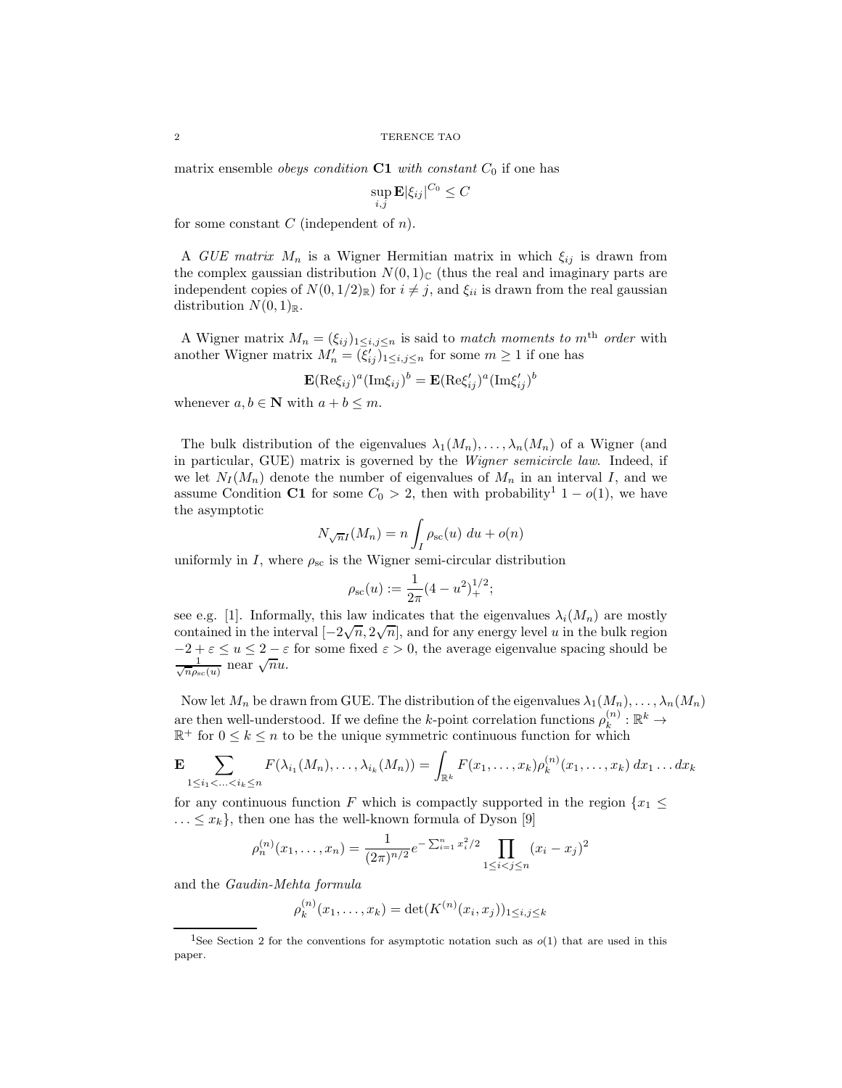matrix ensemble *obeys condition*  $C1$  with constant  $C_0$  if one has

$$
\sup_{i,j} \mathbf{E} |\xi_{ij}|^{C_0} \leq C
$$

for some constant  $C$  (independent of  $n$ ).

A GUE matrix  $M_n$  is a Wigner Hermitian matrix in which  $\xi_{ij}$  is drawn from the complex gaussian distribution  $N(0, 1)$ <sub>C</sub> (thus the real and imaginary parts are independent copies of  $N(0, 1/2)_{\mathbb{R}}$  for  $i \neq j$ , and  $\xi_{ii}$  is drawn from the real gaussian distribution  $N(0, 1)_{\mathbb{R}}$ .

A Wigner matrix  $M_n = (\xi_{ij})_{1 \leq i,j \leq n}$  is said to match moments to m<sup>th</sup> order with another Wigner matrix  $M'_n = (\xi'_{ij})_{1 \leq i,j \leq n}$  for some  $m \geq 1$  if one has

$$
\mathbf{E}(\mathrm{Re}\xi_{ij})^a(\mathrm{Im}\xi_{ij})^b = \mathbf{E}(\mathrm{Re}\xi_{ij}')^a(\mathrm{Im}\xi_{ij}')^b
$$

whenever  $a, b \in \mathbb{N}$  with  $a + b \leq m$ .

The bulk distribution of the eigenvalues  $\lambda_1(M_n), \ldots, \lambda_n(M_n)$  of a Wigner (and in particular, GUE) matrix is governed by the Wigner semicircle law. Indeed, if we let  $N_I(M_n)$  denote the number of eigenvalues of  $M_n$  in an interval I, and we assume Condition C1 for some  $C_0 > 2$ , then with probability<sup>1</sup> 1 –  $o(1)$ , we have the asymptotic

$$
N_{\sqrt{n}I}(M_n) = n \int_I \rho_{\rm sc}(u) \ du + o(n)
$$

uniformly in I, where  $\rho_{\rm sc}$  is the Wigner semi-circular distribution

$$
\rho_{\rm sc}(u) := \frac{1}{2\pi} (4 - u^2)^{1/2}_+;
$$

see e.g. [1]. Informally, this law indicates that the eigenvalues  $\lambda_i(M_n)$  are mostly contained in the interval  $[-2\sqrt{n}, 2\sqrt{n}]$ , and for any energy level u in the bulk region  $-2 + \varepsilon \le u \le 2 - \varepsilon$  for some fixed  $\varepsilon > 0$ , the average eigenvalue spacing should be  $\frac{1}{\sqrt{n}\rho_{\rm sc}(u)}$  near  $\sqrt{n}u$ .

Now let  $M_n$  be drawn from GUE. The distribution of the eigenvalues  $\lambda_1(M_n), \ldots, \lambda_n(M_n)$ are then well-understood. If we define the k-point correlation functions  $\rho_k^{(n)}$  $\mathbf{R}^{(n)}_k : \mathbb{R}^k \to$  $\mathbb{R}^+$  for  $0 \leq k \leq n$  to be the unique symmetric continuous function for which

$$
\mathbf{E} \sum_{1 \leq i_1 < \ldots < i_k \leq n} F(\lambda_{i_1}(M_n), \ldots, \lambda_{i_k}(M_n)) = \int_{\mathbb{R}^k} F(x_1, \ldots, x_k) \rho_k^{(n)}(x_1, \ldots, x_k) \, dx_1 \ldots dx_k
$$

for any continuous function F which is compactly supported in the region  $\{x_1 \leq$  $\ldots \leq x_k$ , then one has the well-known formula of Dyson [9]

$$
\rho_n^{(n)}(x_1,\ldots,x_n) = \frac{1}{(2\pi)^{n/2}} e^{-\sum_{i=1}^n x_i^2/2} \prod_{1 \le i < j \le n} (x_i - x_j)^2
$$

and the Gaudin-Mehta formula

$$
\rho_k^{(n)}(x_1,\ldots,x_k) = \det(K^{(n)}(x_i,x_j))_{1 \le i,j \le k}
$$

<sup>&</sup>lt;sup>1</sup>See Section 2 for the conventions for asymptotic notation such as  $o(1)$  that are used in this paper.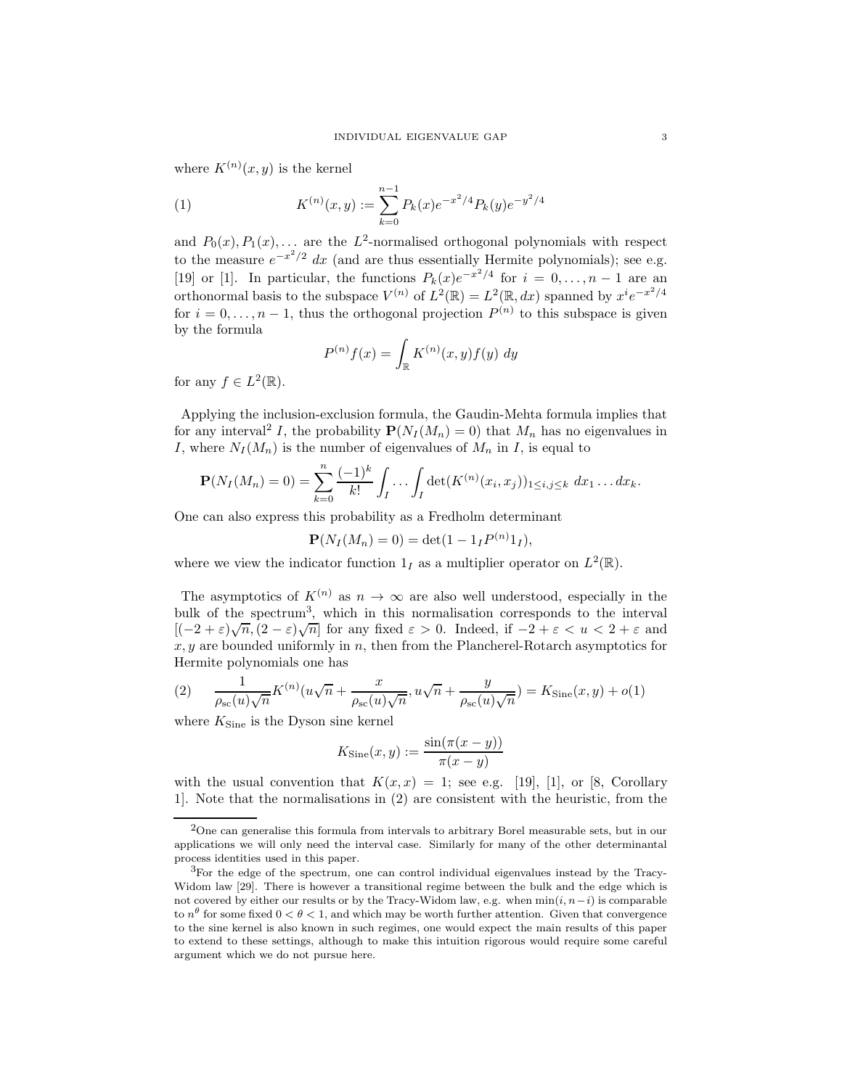where  $K^{(n)}(x, y)$  is the kernel

(1) 
$$
K^{(n)}(x,y) := \sum_{k=0}^{n-1} P_k(x)e^{-x^2/4}P_k(y)e^{-y^2/4}
$$

and  $P_0(x)$ ,  $P_1(x)$ ,... are the L<sup>2</sup>-normalised orthogonal polynomials with respect to the measure  $e^{-x^2/2}$  dx (and are thus essentially Hermite polynomials); see e.g. [19] or [1]. In particular, the functions  $P_k(x)e^{-x^2/4}$  for  $i=0,\ldots,n-1$  are an orthonormal basis to the subspace  $V^{(n)}$  of  $L^2(\mathbb{R}) = L^2(\mathbb{R}, dx)$  spanned by  $x^i e^{-x^2/4}$ for  $i = 0, \ldots, n-1$ , thus the orthogonal projection  $P^{(n)}$  to this subspace is given by the formula

$$
P^{(n)}f(x) = \int_{\mathbb{R}} K^{(n)}(x, y) f(y) dy
$$

for any  $f \in L^2(\mathbb{R})$ .

Applying the inclusion-exclusion formula, the Gaudin-Mehta formula implies that for any interval<sup>2</sup> I, the probability  $\mathbf{P}(N_I(M_n) = 0)$  that  $M_n$  has no eigenvalues in I, where  $N_I(M_n)$  is the number of eigenvalues of  $M_n$  in I, is equal to

$$
\mathbf{P}(N_I(M_n) = 0) = \sum_{k=0}^n \frac{(-1)^k}{k!} \int_I \cdots \int_I \det(K^{(n)}(x_i, x_j))_{1 \leq i, j \leq k} dx_1 \ldots dx_k.
$$

One can also express this probability as a Fredholm determinant

$$
\mathbf{P}(N_I(M_n) = 0) = \det(1 - 1_I P^{(n)} 1_I),
$$

where we view the indicator function  $1_I$  as a multiplier operator on  $L^2(\mathbb{R})$ .

The asymptotics of  $K^{(n)}$  as  $n \to \infty$  are also well understood, especially in the bulk of the spectrum<sup>3</sup>, which in this normalisation corresponds to the interval  $[(-2+\varepsilon)\sqrt{n},(2-\varepsilon)\sqrt{n}]$  for any fixed  $\varepsilon > 0$ . Indeed, if  $-2+\varepsilon < u < 2+\varepsilon$  and  $x, y$  are bounded uniformly in n, then from the Plancherel-Rotarch asymptotics for Hermite polynomials one has

(2) 
$$
\frac{1}{\rho_{\rm sc}(u)\sqrt{n}}K^{(n)}(u\sqrt{n}+\frac{x}{\rho_{\rm sc}(u)\sqrt{n}},u\sqrt{n}+\frac{y}{\rho_{\rm sc}(u)\sqrt{n}})=K_{\rm Sine}(x,y)+o(1)
$$

where  $K_{\text{Sine}}$  is the Dyson sine kernel

$$
K_{\text{Sine}}(x, y) := \frac{\sin(\pi(x - y))}{\pi(x - y)}
$$

with the usual convention that  $K(x, x) = 1$ ; see e.g. [19], [1], or [8, Corollary 1]. Note that the normalisations in (2) are consistent with the heuristic, from the

<sup>2</sup>One can generalise this formula from intervals to arbitrary Borel measurable sets, but in our applications we will only need the interval case. Similarly for many of the other determinantal process identities used in this paper.

<sup>3</sup>For the edge of the spectrum, one can control individual eigenvalues instead by the Tracy-Widom law [29]. There is however a transitional regime between the bulk and the edge which is not covered by either our results or by the Tracy-Widom law, e.g. when  $min(i, n-i)$  is comparable to  $n^{\theta}$  for some fixed  $0 < \theta < 1$ , and which may be worth further attention. Given that convergence to the sine kernel is also known in such regimes, one would expect the main results of this paper to extend to these settings, although to make this intuition rigorous would require some careful argument which we do not pursue here.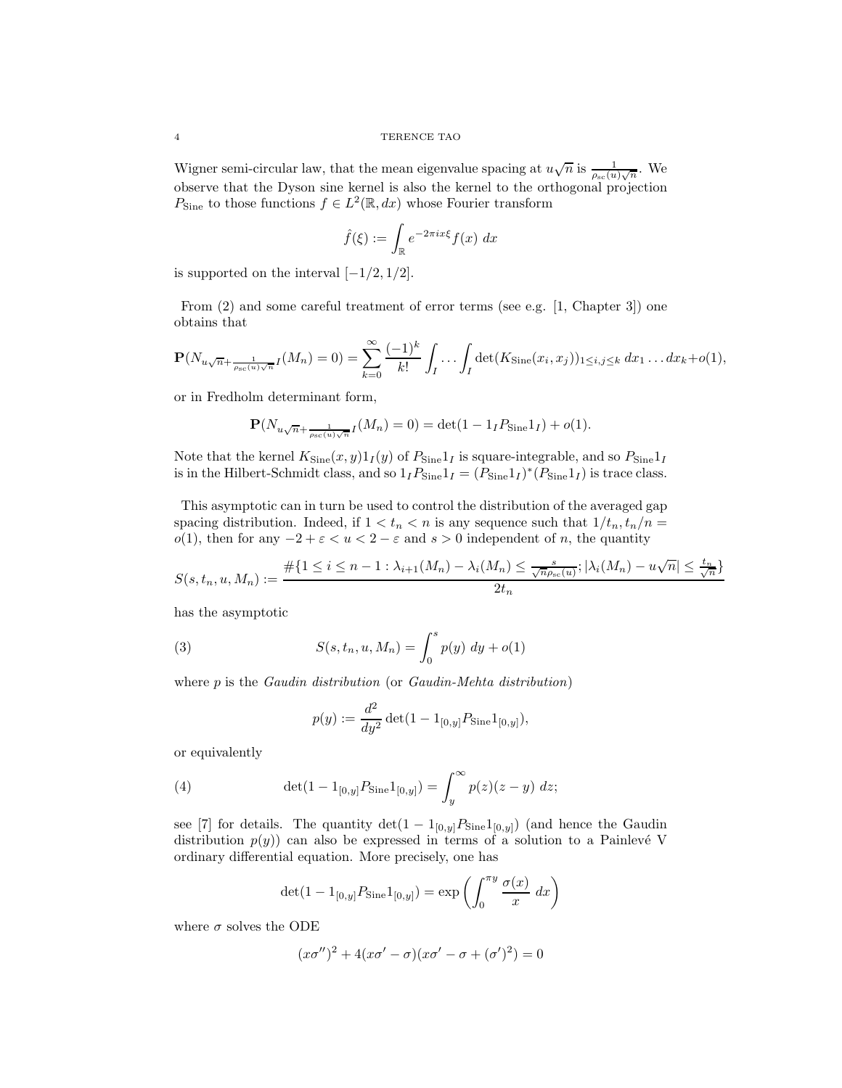Wigner semi-circular law, that the mean eigenvalue spacing at  $u\sqrt{n}$  is  $\frac{1}{\rho_{sc}(u)\sqrt{n}}$ . We observe that the Dyson sine kernel is also the kernel to the orthogonal projection  $P_{\text{Sine}}$  to those functions  $f \in L^2(\mathbb{R}, dx)$  whose Fourier transform

$$
\hat{f}(\xi) := \int_{\mathbb{R}} e^{-2\pi i x \xi} f(x) \, dx
$$

is supported on the interval  $[-1/2, 1/2]$ .

From (2) and some careful treatment of error terms (see e.g. [1, Chapter 3]) one obtains that

$$
\mathbf{P}(N_{u\sqrt{n}+\frac{1}{\rho_{\rm sc}(u)\sqrt{n}}}(M_n) = 0) = \sum_{k=0}^{\infty} \frac{(-1)^k}{k!} \int_I \cdots \int_I \det(K_{\rm Sine}(x_i, x_j))_{1 \leq i,j \leq k} dx_1 \ldots dx_k + o(1),
$$

or in Fredholm determinant form,

$$
\mathbf{P}(N_{u\sqrt{n}+\frac{1}{\rho_{\rm sc}(u)\sqrt{n}}I}(M_n)=0)=\det(1-1_I P_{\rm Sine}1_I)+o(1).
$$

Note that the kernel  $K_{\text{Sine}}(x, y)1_I(y)$  of  $P_{\text{Sine}}1_I$  is square-integrable, and so  $P_{\text{Sine}}1_I$ is in the Hilbert-Schmidt class, and so  $1_I P_{\text{Sine}} 1_I = (P_{\text{Sine}} 1_I)^* (P_{\text{Sine}} 1_I)$  is trace class.

This asymptotic can in turn be used to control the distribution of the averaged gap spacing distribution. Indeed, if  $1 < t_n < n$  is any sequence such that  $1/t_n, t_n/n =$ o(1), then for any  $-2 + \varepsilon < u < 2 - \varepsilon$  and  $s > 0$  independent of n, the quantity

$$
S(s,t_n,u,M_n) := \frac{\#\{1 \le i \le n-1 : \lambda_{i+1}(M_n) - \lambda_i(M_n) \le \frac{s}{\sqrt{n}\rho_{\mathrm{sc}}(u)}; |\lambda_i(M_n) - u\sqrt{n}| \le \frac{t_n}{\sqrt{n}}\}}{2t_n}
$$

has the asymptotic

(3) 
$$
S(s, t_n, u, M_n) = \int_0^s p(y) \, dy + o(1)
$$

where  $p$  is the *Gaudin distribution* (or *Gaudin-Mehta distribution*)

$$
p(y) := \frac{d^2}{dy^2} \det(1 - 1_{[0,y]} P_{\text{Sine}} 1_{[0,y]}),
$$

or equivalently

(4) 
$$
\det(1 - 1_{[0,y]} P_{\text{Sine}} 1_{[0,y]}) = \int_{y}^{\infty} p(z)(z - y) dz;
$$

see [7] for details. The quantity  $\det(1 - 1_{[0,u]}P_{\text{Sine}}1_{[0,u]})$  (and hence the Gaudin distribution  $p(y)$  can also be expressed in terms of a solution to a Painlevé V ordinary differential equation. More precisely, one has

$$
\det(1 - 1_{[0,y]} P_{\text{Sine}} 1_{[0,y]}) = \exp\left(\int_0^{\pi y} \frac{\sigma(x)}{x} dx\right)
$$

where  $\sigma$  solves the ODE

$$
(x\sigma'')^2 + 4(x\sigma' - \sigma)(x\sigma' - \sigma + (\sigma')^2) = 0
$$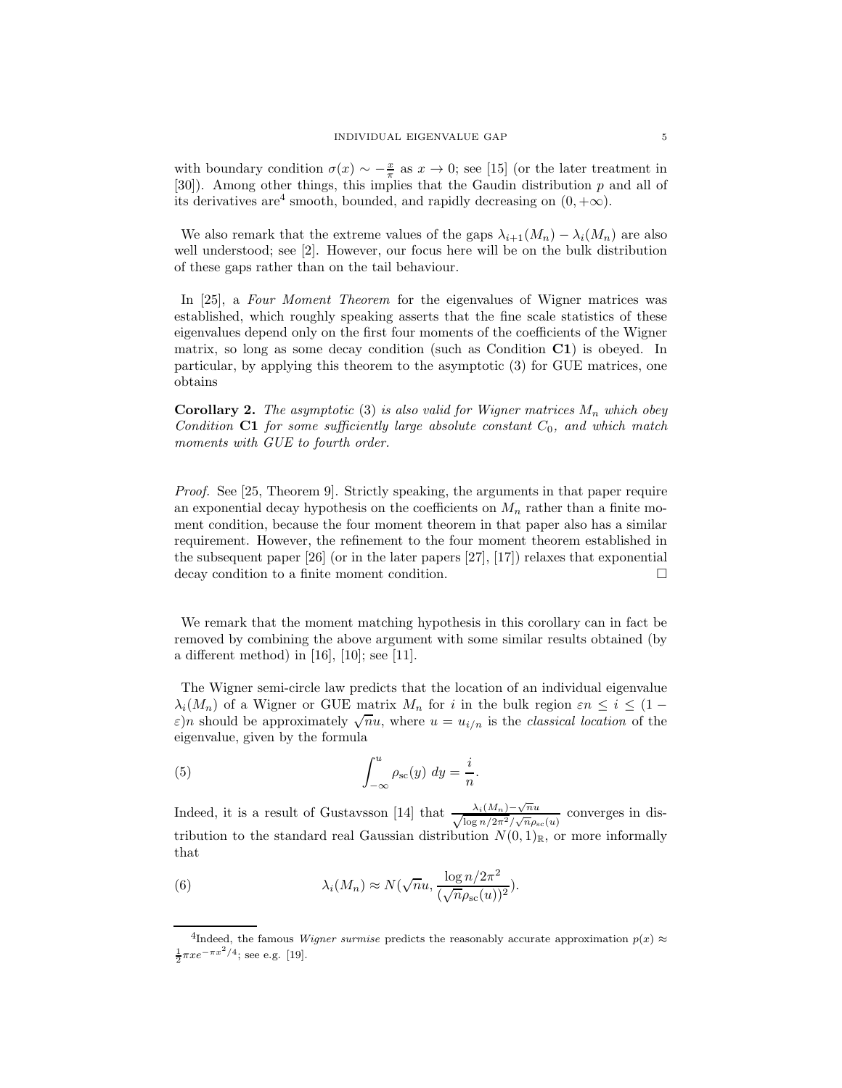with boundary condition  $\sigma(x) \sim -\frac{x}{\pi}$  as  $x \to 0$ ; see [15] (or the later treatment in [30]). Among other things, this implies that the Gaudin distribution p and all of its derivatives are<sup>4</sup> smooth, bounded, and rapidly decreasing on  $(0, +\infty)$ .

We also remark that the extreme values of the gaps  $\lambda_{i+1}(M_n) - \lambda_i(M_n)$  are also well understood; see [2]. However, our focus here will be on the bulk distribution of these gaps rather than on the tail behaviour.

In [25], a Four Moment Theorem for the eigenvalues of Wigner matrices was established, which roughly speaking asserts that the fine scale statistics of these eigenvalues depend only on the first four moments of the coefficients of the Wigner matrix, so long as some decay condition (such as Condition C1) is obeyed. In particular, by applying this theorem to the asymptotic (3) for GUE matrices, one obtains

**Corollary 2.** The asymptotic (3) is also valid for Wigner matrices  $M_n$  which obey Condition C1 for some sufficiently large absolute constant  $C_0$ , and which match moments with GUE to fourth order.

Proof. See [25, Theorem 9]. Strictly speaking, the arguments in that paper require an exponential decay hypothesis on the coefficients on  $M_n$  rather than a finite moment condition, because the four moment theorem in that paper also has a similar requirement. However, the refinement to the four moment theorem established in the subsequent paper [26] (or in the later papers [27], [17]) relaxes that exponential decay condition to a finite moment condition.

We remark that the moment matching hypothesis in this corollary can in fact be removed by combining the above argument with some similar results obtained (by a different method) in [16], [10]; see [11].

The Wigner semi-circle law predicts that the location of an individual eigenvalue  $\lambda_i(M_n)$  of a Wigner or GUE matrix  $M_n$  for i in the bulk region  $\varepsilon n \leq i \leq (1-\varepsilon)$  $\varepsilon$ )n should be approximately  $\sqrt{n}u$ , where  $u = u_{i/n}$  is the classical location of the eigenvalue, given by the formula

(5) 
$$
\int_{-\infty}^{u} \rho_{\rm sc}(y) \ dy = \frac{i}{n}.
$$

Indeed, it is a result of Gustavsson [14] that  $\frac{\lambda_i(M_n)-\sqrt{n}u}{\sqrt{\log n/2\pi^2}/\sqrt{n}\rho_{sc}(u)}$  converges in distribution to the standard real Gaussian distribution  $N(0, 1)_{\mathbb{R}}$ , or more informally that

(6) 
$$
\lambda_i(M_n) \approx N(\sqrt{n}u, \frac{\log n/2\pi^2}{(\sqrt{n}\rho_{\rm sc}(u))^2}).
$$

<sup>&</sup>lt;sup>4</sup>Indeed, the famous *Wigner surmise* predicts the reasonably accurate approximation  $p(x) \approx$  $\frac{1}{2}\pi x e^{-\pi x^2/4}$ ; see e.g. [19].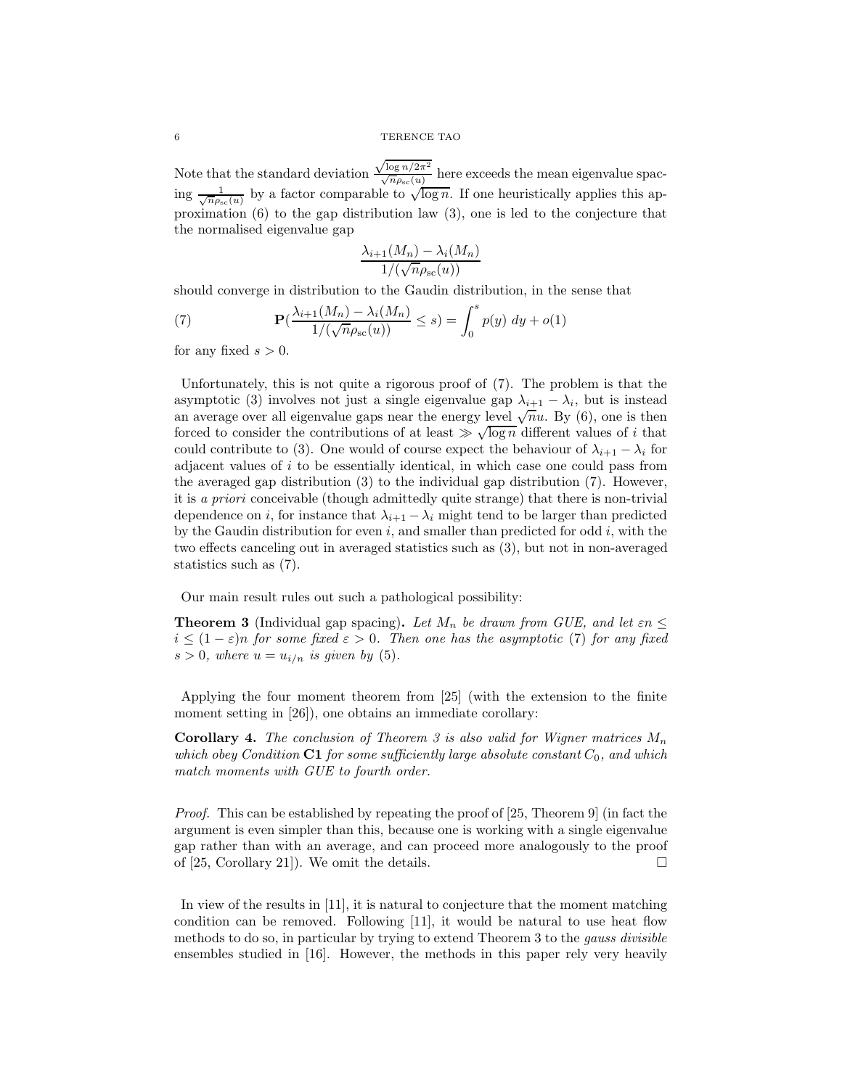Note that the standard deviation  $\frac{\sqrt{\log n/2\pi^2}}{\sqrt{n\rho_{\rm sc}(u)}}$  here exceeds the mean eigenvalue spacing  $\frac{1}{\sqrt{n\rho_{\rm sc}(u)}}$  by a factor comparable to  $\sqrt{\log n}$ . If one heuristically applies this approximation (6) to the gap distribution law (3), one is led to the conjecture that the normalised eigenvalue gap

$$
\frac{\lambda_{i+1}(M_n) - \lambda_i(M_n)}{1/(\sqrt{n}\rho_{\rm sc}(u))}
$$

should converge in distribution to the Gaudin distribution, in the sense that

(7) 
$$
\mathbf{P}(\frac{\lambda_{i+1}(M_n) - \lambda_i(M_n)}{1/(\sqrt{n}\rho_{\rm sc}(u))} \leq s) = \int_0^s p(y) \, dy + o(1)
$$

for any fixed  $s > 0$ .

Unfortunately, this is not quite a rigorous proof of (7). The problem is that the asymptotic (3) involves not just a single eigenvalue gap  $\lambda_{i+1} - \lambda_i$ , but is instead an average over all eigenvalue gaps near the energy level  $\sqrt{n}u$ . By (6), one is then forced to consider the contributions of at least  $\gg \sqrt{\log n}$  different values of *i* that could contribute to (3). One would of course expect the behaviour of  $\lambda_{i+1} - \lambda_i$  for adjacent values of i to be essentially identical, in which case one could pass from the averaged gap distribution (3) to the individual gap distribution (7). However, it is a priori conceivable (though admittedly quite strange) that there is non-trivial dependence on i, for instance that  $\lambda_{i+1} - \lambda_i$  might tend to be larger than predicted by the Gaudin distribution for even  $i$ , and smaller than predicted for odd  $i$ , with the two effects canceling out in averaged statistics such as (3), but not in non-averaged statistics such as (7).

Our main result rules out such a pathological possibility:

**Theorem 3** (Individual gap spacing). Let  $M_n$  be drawn from GUE, and let  $\epsilon n \leq$  $i \leq (1 - \varepsilon)n$  for some fixed  $\varepsilon > 0$ . Then one has the asymptotic (7) for any fixed  $s > 0$ , where  $u = u_{i/n}$  is given by (5).

Applying the four moment theorem from [25] (with the extension to the finite moment setting in [26]), one obtains an immediate corollary:

**Corollary 4.** The conclusion of Theorem 3 is also valid for Wigner matrices  $M_n$ which obey Condition  $C1$  for some sufficiently large absolute constant  $C_0$ , and which match moments with GUE to fourth order.

Proof. This can be established by repeating the proof of [25, Theorem 9] (in fact the argument is even simpler than this, because one is working with a single eigenvalue gap rather than with an average, and can proceed more analogously to the proof of [25, Corollary 21]). We omit the details.  $\square$ 

In view of the results in [11], it is natural to conjecture that the moment matching condition can be removed. Following [11], it would be natural to use heat flow methods to do so, in particular by trying to extend Theorem 3 to the gauss divisible ensembles studied in [16]. However, the methods in this paper rely very heavily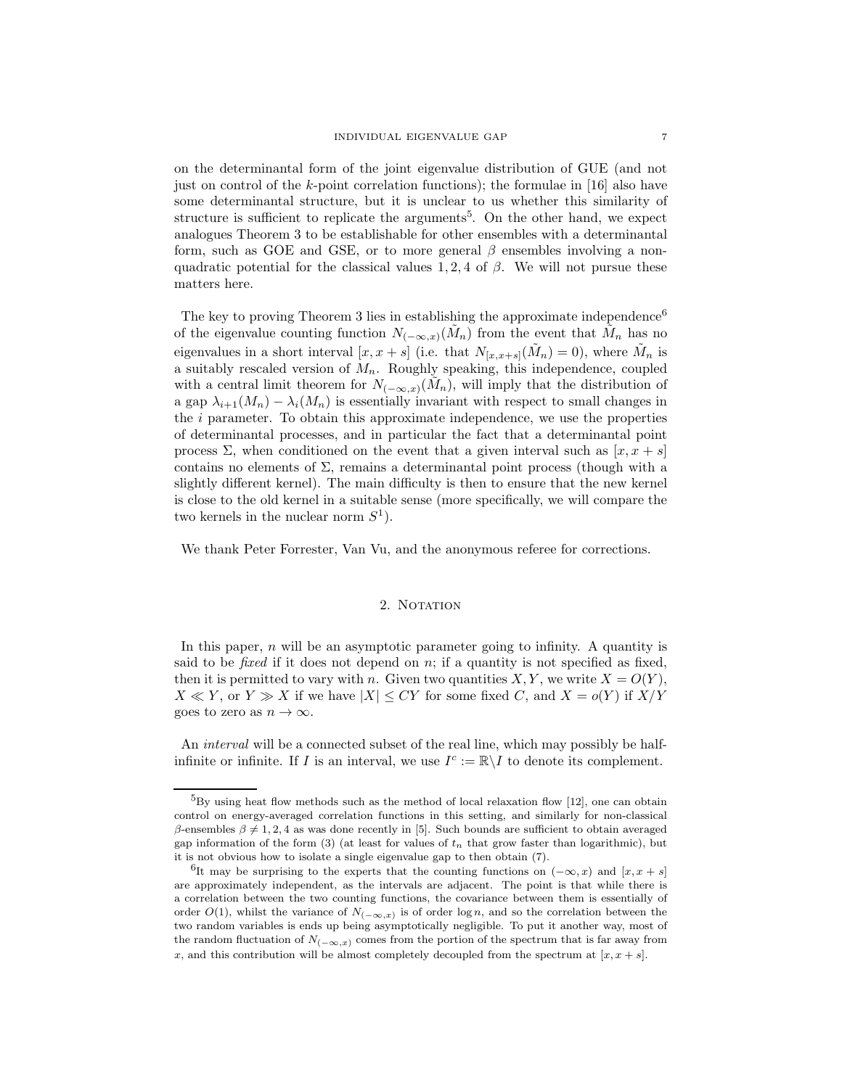on the determinantal form of the joint eigenvalue distribution of GUE (and not just on control of the  $k$ -point correlation functions); the formulae in [16] also have some determinantal structure, but it is unclear to us whether this similarity of structure is sufficient to replicate the arguments<sup>5</sup>. On the other hand, we expect analogues Theorem 3 to be establishable for other ensembles with a determinantal form, such as GOE and GSE, or to more general  $\beta$  ensembles involving a nonquadratic potential for the classical values 1, 2, 4 of  $\beta$ . We will not pursue these matters here.

The key to proving Theorem 3 lies in establishing the approximate independence<sup>6</sup> of the eigenvalue counting function  $N_{(-\infty,x)}(\tilde{M}_n)$  from the event that  $\tilde{M}_n$  has no eigenvalues in a short interval  $[x, x + s]$  (i.e. that  $N_{[x, x+s]}(\tilde{M}_n) = 0$ ), where  $\tilde{M}_n$  is a suitably rescaled version of  $M_n$ . Roughly speaking, this independence, coupled with a central limit theorem for  $N_{(-\infty,x)}(\tilde{M}_n)$ , will imply that the distribution of a gap  $\lambda_{i+1}(M_n) - \lambda_i(M_n)$  is essentially invariant with respect to small changes in the  $i$  parameter. To obtain this approximate independence, we use the properties of determinantal processes, and in particular the fact that a determinantal point process  $\Sigma$ , when conditioned on the event that a given interval such as  $[x, x + s]$ contains no elements of  $\Sigma$ , remains a determinantal point process (though with a slightly different kernel). The main difficulty is then to ensure that the new kernel is close to the old kernel in a suitable sense (more specifically, we will compare the two kernels in the nuclear norm  $S^1$ ).

We thank Peter Forrester, Van Vu, and the anonymous referee for corrections.

### 2. NOTATION

In this paper,  $n$  will be an asymptotic parameter going to infinity. A quantity is said to be *fixed* if it does not depend on  $n$ ; if a quantity is not specified as fixed, then it is permitted to vary with n. Given two quantities  $X, Y$ , we write  $X = O(Y)$ ,  $X \ll Y$ , or  $Y \gg X$  if we have  $|X| \le CY$  for some fixed C, and  $X = o(Y)$  if  $X/Y$ goes to zero as  $n \to \infty$ .

An interval will be a connected subset of the real line, which may possibly be halfinfinite or infinite. If I is an interval, we use  $I^c := \mathbb{R} \backslash I$  to denote its complement.

 ${}^{5}$ By using heat flow methods such as the method of local relaxation flow [12], one can obtain control on energy-averaged correlation functions in this setting, and similarly for non-classical β-ensembles  $β ≠ 1, 2, 4$  as was done recently in [5]. Such bounds are sufficient to obtain averaged gap information of the form (3) (at least for values of  $t_n$  that grow faster than logarithmic), but it is not obvious how to isolate a single eigenvalue gap to then obtain (7).

<sup>&</sup>lt;sup>6</sup>It may be surprising to the experts that the counting functions on  $(-\infty, x)$  and  $[x, x + s]$ are approximately independent, as the intervals are adjacent. The point is that while there is a correlation between the two counting functions, the covariance between them is essentially of order  $O(1)$ , whilst the variance of  $N_{(-\infty,x)}$  is of order log n, and so the correlation between the two random variables is ends up being asymptotically negligible. To put it another way, most of the random fluctuation of  $N_{(-\infty,x)}$  comes from the portion of the spectrum that is far away from x, and this contribution will be almost completely decoupled from the spectrum at  $[x, x + s]$ .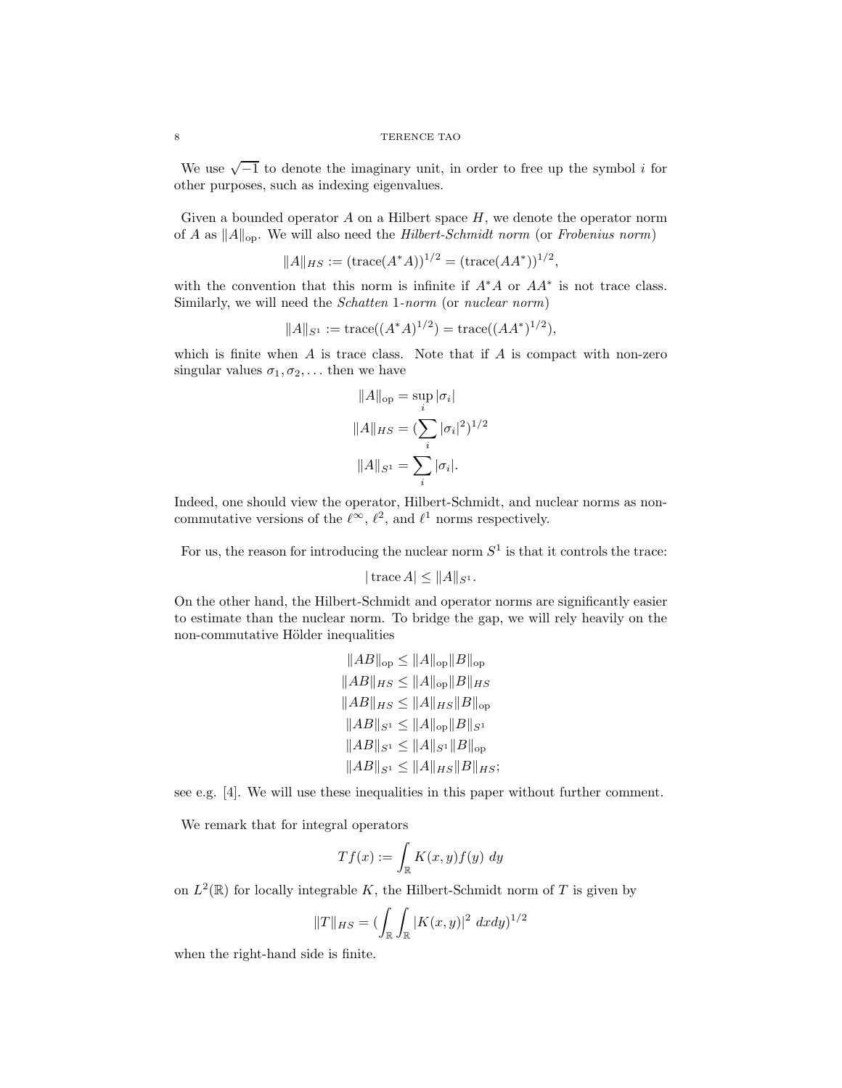We use  $\sqrt{-1}$  to denote the imaginary unit, in order to free up the symbol *i* for other purposes, such as indexing eigenvalues.

Given a bounded operator  $A$  on a Hilbert space  $H$ , we denote the operator norm of A as  $||A||_{op}$ . We will also need the Hilbert-Schmidt norm (or Frobenius norm)

$$
||A||_{HS} := (\text{trace}(A^*A))^{1/2} = (\text{trace}(AA^*))^{1/2},
$$

with the convention that this norm is infinite if  $A^*A$  or  $AA^*$  is not trace class. Similarly, we will need the *Schatten* 1-norm (or nuclear norm)

$$
||A||_{S^1} := \text{trace}((A^*A)^{1/2}) = \text{trace}((AA^*)^{1/2}),
$$

which is finite when  $A$  is trace class. Note that if  $A$  is compact with non-zero singular values  $\sigma_1, \sigma_2, \ldots$  then we have

$$
||A||_{op} = \sup_{i} |\sigma_{i}|
$$
  

$$
||A||_{HS} = (\sum_{i} |\sigma_{i}|^{2})^{1/2}
$$
  

$$
||A||_{S^{1}} = \sum_{i} |\sigma_{i}|.
$$

Indeed, one should view the operator, Hilbert-Schmidt, and nuclear norms as noncommutative versions of the  $\ell^{\infty}$ ,  $\ell^2$ , and  $\ell^1$  norms respectively.

For us, the reason for introducing the nuclear norm  $S^1$  is that it controls the trace:

$$
|\operatorname{trace} A| \leq ||A||_{S^1}.
$$

On the other hand, the Hilbert-Schmidt and operator norms are significantly easier to estimate than the nuclear norm. To bridge the gap, we will rely heavily on the non-commutative Hölder inequalities

$$
||AB||_{op} \le ||A||_{op} ||B||_{op}
$$
  
\n
$$
||AB||_{HS} \le ||A||_{op} ||B||_{HS}
$$
  
\n
$$
||AB||_{HS} \le ||A||_{HS} ||B||_{op}
$$
  
\n
$$
||AB||_{S^1} \le ||A||_{op} ||B||_{S^1}
$$
  
\n
$$
||AB||_{S^1} \le ||A||_{S^1} ||B||_{op}
$$
  
\n
$$
||AB||_{S^1} \le ||A||_{HS} ||B||_{op}
$$
  
\n
$$
||AB||_{S^1} \le ||A||_{HS} ||B||_{HS};
$$

see e.g. [4]. We will use these inequalities in this paper without further comment.

We remark that for integral operators

$$
Tf(x) := \int_{\mathbb{R}} K(x, y) f(y) \ dy
$$

on  $L^2(\mathbb{R})$  for locally integrable K, the Hilbert-Schmidt norm of T is given by

$$
||T||_{HS} = (\int_{\mathbb{R}} \int_{\mathbb{R}} |K(x, y)|^2 dx dy)^{1/2}
$$

when the right-hand side is finite.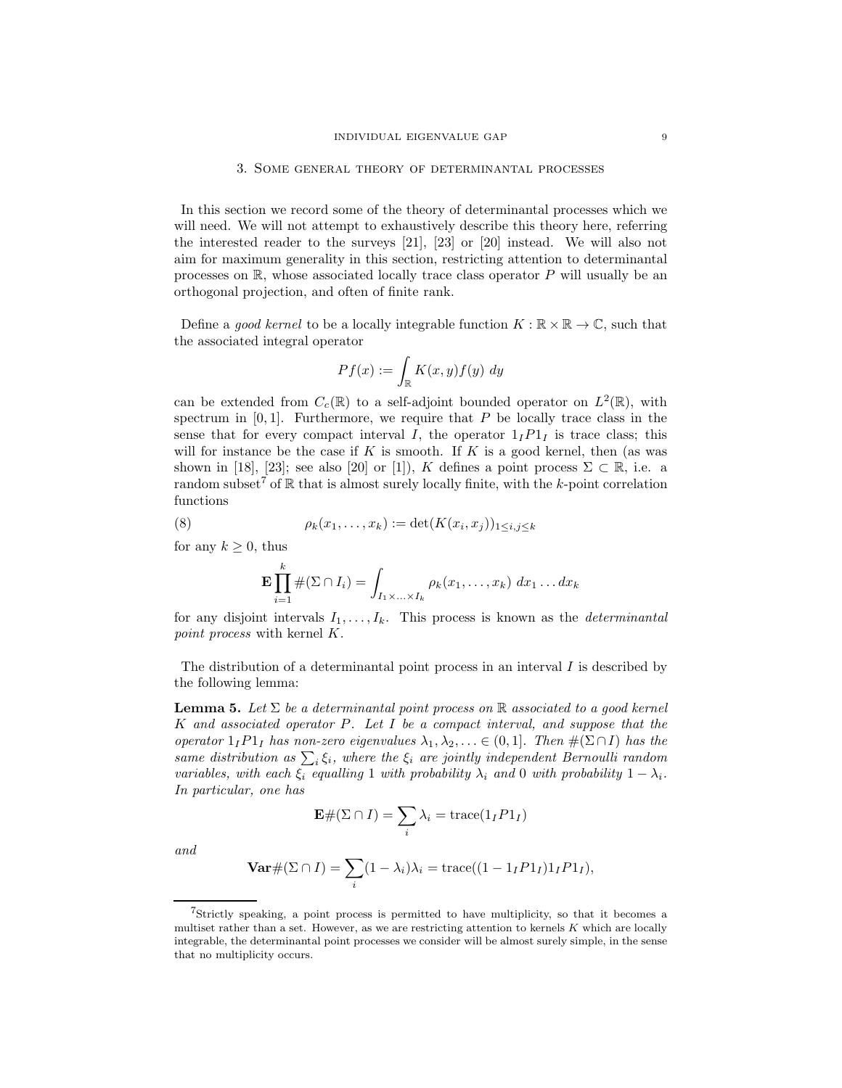#### 3. Some general theory of determinantal processes

In this section we record some of the theory of determinantal processes which we will need. We will not attempt to exhaustively describe this theory here, referring the interested reader to the surveys [21], [23] or [20] instead. We will also not aim for maximum generality in this section, restricting attention to determinantal processes on  $\mathbb{R}$ , whose associated locally trace class operator P will usually be an orthogonal projection, and often of finite rank.

Define a good kernel to be a locally integrable function  $K : \mathbb{R} \times \mathbb{R} \to \mathbb{C}$ , such that the associated integral operator

$$
Pf(x) := \int_{\mathbb{R}} K(x, y) f(y) \ dy
$$

can be extended from  $C_c(\mathbb{R})$  to a self-adjoint bounded operator on  $L^2(\mathbb{R})$ , with spectrum in  $[0, 1]$ . Furthermore, we require that P be locally trace class in the sense that for every compact interval I, the operator  $1_I P1_I$  is trace class; this will for instance be the case if K is smooth. If K is a good kernel, then (as was shown in [18], [23]; see also [20] or [1]), K defines a point process  $\Sigma \subset \mathbb{R}$ , i.e. a random subset<sup>7</sup> of  $\mathbb R$  that is almost surely locally finite, with the k-point correlation functions

(8) 
$$
\rho_k(x_1,...,x_k) := \det(K(x_i,x_j))_{1 \le i,j \le k}
$$

for any  $k \geq 0$ , thus

$$
\mathbf{E}\prod_{i=1}^k\#(\Sigma\cap I_i)=\int_{I_1\times\ldots\times I_k}\rho_k(x_1,\ldots,x_k)\;dx_1\ldots dx_k
$$

for any disjoint intervals  $I_1, \ldots, I_k$ . This process is known as the *determinantal* point process with kernel K.

The distribution of a determinantal point process in an interval  $I$  is described by the following lemma:

**Lemma 5.** Let  $\Sigma$  be a determinantal point process on  $\mathbb R$  associated to a good kernel K and associated operator P. Let I be a compact interval, and suppose that the operator  $1_I P1_I$  has non-zero eigenvalues  $\lambda_1, \lambda_2, \ldots \in (0,1]$ . Then  $\#(\Sigma \cap I)$  has the same distribution as  $\sum_i \xi_i$ , where the  $\xi_i$  are jointly independent Bernoulli random variables, with each  $\xi_i$  equalling 1 with probability  $\lambda_i$  and 0 with probability  $1 - \lambda_i$ . In particular, one has

$$
\mathbf{E} \# (\Sigma \cap I) = \sum_{i} \lambda_i = \text{trace}(1_I P 1_I)
$$

and

$$
\operatorname{Var} \# (\Sigma \cap I) = \sum_i (1 - \lambda_i) \lambda_i = \operatorname{trace}((1 - 1_I P 1_I) 1_I P 1_I),
$$

<sup>7</sup>Strictly speaking, a point process is permitted to have multiplicity, so that it becomes a multiset rather than a set. However, as we are restricting attention to kernels  $K$  which are locally integrable, the determinantal point processes we consider will be almost surely simple, in the sense that no multiplicity occurs.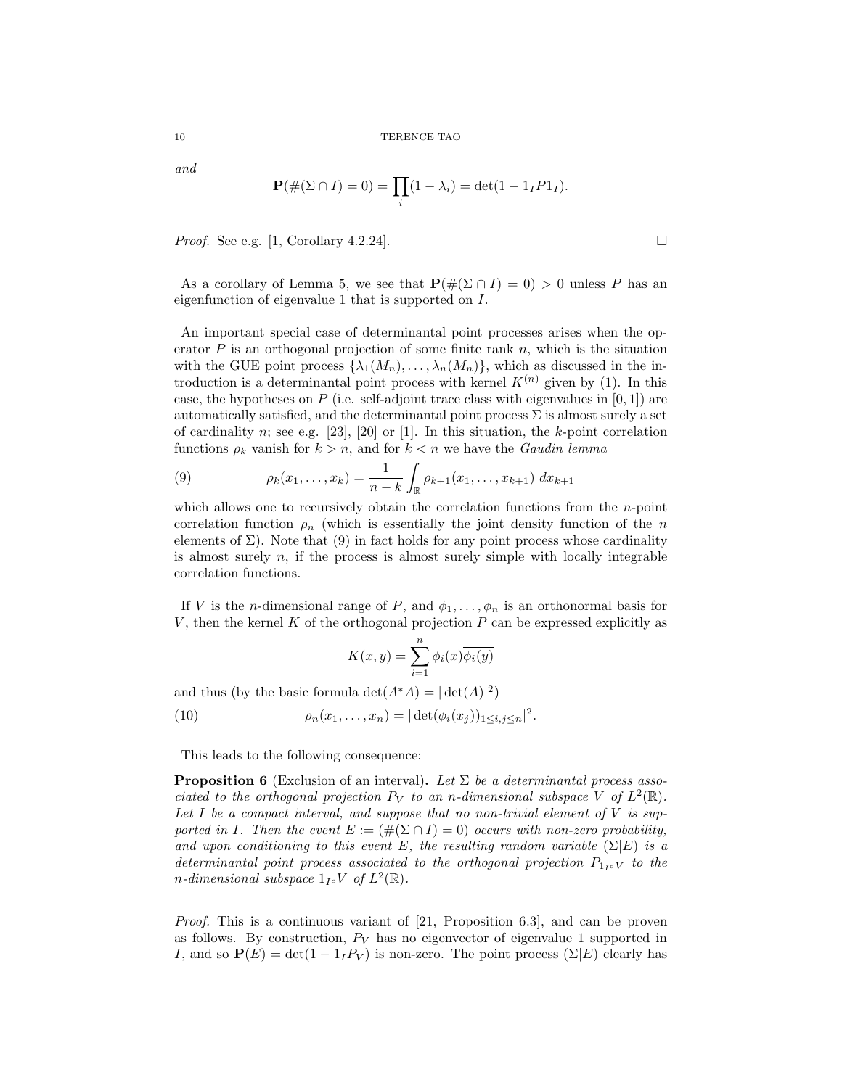and

$$
\mathbf{P}(\#(\Sigma \cap I) = 0) = \prod_i (1 - \lambda_i) = \det(1 - 1_I P 1_I).
$$

*Proof.* See e.g. [1, Corollary 4.2.24].

As a corollary of Lemma 5, we see that  $\mathbf{P}(\#(\Sigma \cap I) = 0) > 0$  unless P has an eigenfunction of eigenvalue 1 that is supported on I.

An important special case of determinantal point processes arises when the operator  $P$  is an orthogonal projection of some finite rank  $n$ , which is the situation with the GUE point process  $\{\lambda_1(M_n), \ldots, \lambda_n(M_n)\}\,$ , which as discussed in the introduction is a determinantal point process with kernel  $K^{(n)}$  given by (1). In this case, the hypotheses on  $P$  (i.e. self-adjoint trace class with eigenvalues in [0, 1]) are automatically satisfied, and the determinantal point process  $\Sigma$  is almost surely a set of cardinality n; see e.g. [23], [20] or [1]. In this situation, the k-point correlation functions  $\rho_k$  vanish for  $k > n$ , and for  $k < n$  we have the *Gaudin lemma* 

(9) 
$$
\rho_k(x_1,\ldots,x_k) = \frac{1}{n-k} \int_{\mathbb{R}} \rho_{k+1}(x_1,\ldots,x_{k+1}) \ dx_{k+1}
$$

which allows one to recursively obtain the correlation functions from the  $n$ -point correlation function  $\rho_n$  (which is essentially the joint density function of the n elements of  $\Sigma$ ). Note that (9) in fact holds for any point process whose cardinality is almost surely  $n$ , if the process is almost surely simple with locally integrable correlation functions.

If V is the *n*-dimensional range of P, and  $\phi_1, \ldots, \phi_n$  is an orthonormal basis for V, then the kernel K of the orthogonal projection  $P$  can be expressed explicitly as

$$
K(x, y) = \sum_{i=1}^{n} \phi_i(x) \overline{\phi_i(y)}
$$

and thus (by the basic formula  $\det(A^*A) = |\det(A)|^2$ )

(10)  $\rho_n(x_1,...,x_n) = |\det(\phi_i(x_j))_{1 \le i,j \le n}|^2.$ 

This leads to the following consequence:

**Proposition 6** (Exclusion of an interval). Let  $\Sigma$  be a determinantal process associated to the orthogonal projection  $P_V$  to an n-dimensional subspace V of  $L^2(\mathbb{R})$ . Let  $I$  be a compact interval, and suppose that no non-trivial element of  $V$  is supported in I. Then the event  $E := (\#(\Sigma \cap I) = 0)$  occurs with non-zero probability, and upon conditioning to this event E, the resulting random variable  $(\Sigma | E)$  is a determinantal point process associated to the orthogonal projection  $P_{1,c}$  to the *n*-dimensional subspace  $1_{I} \circ V$  of  $L^2(\mathbb{R})$ .

Proof. This is a continuous variant of [21, Proposition 6.3], and can be proven as follows. By construction,  $P_V$  has no eigenvector of eigenvalue 1 supported in I, and so  $P(E) = det(1 - 1<sub>I</sub>P<sub>V</sub>)$  is non-zero. The point process  $(\Sigma|E)$  clearly has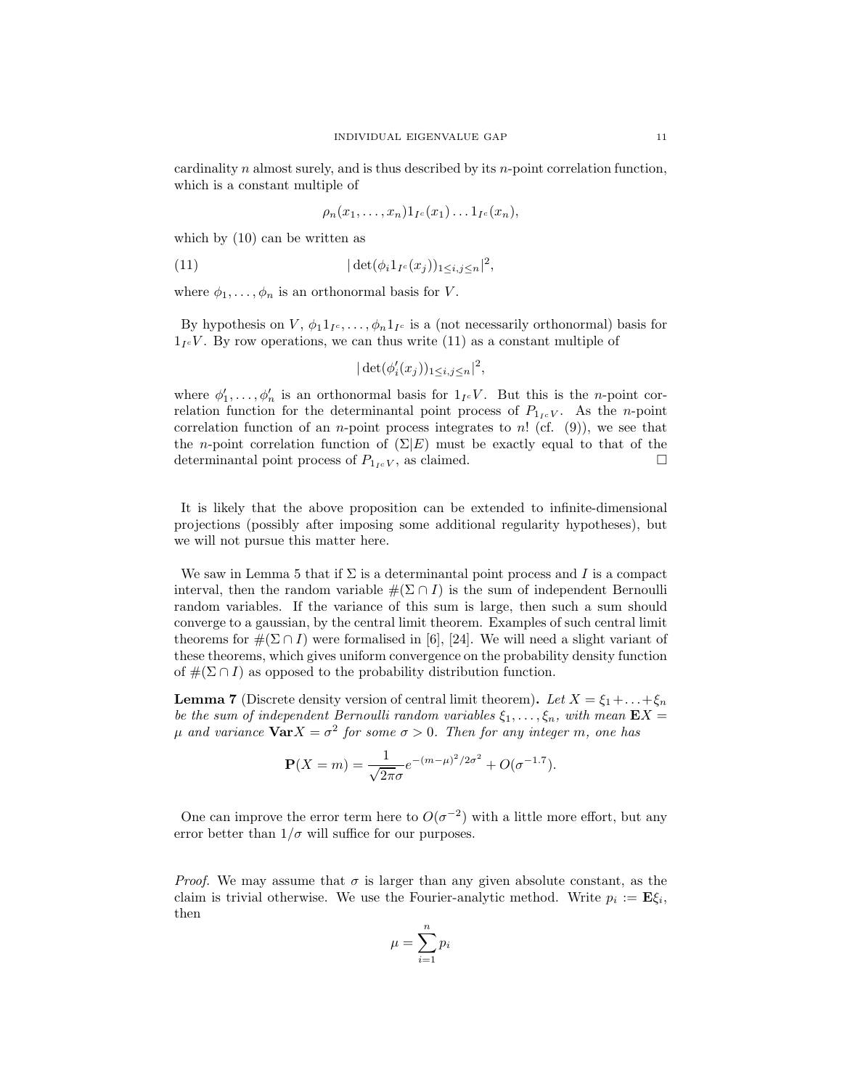cardinality  $n$  almost surely, and is thus described by its  $n$ -point correlation function, which is a constant multiple of

$$
\rho_n(x_1,\ldots,x_n)1_{I^c}(x_1)\ldots 1_{I^c}(x_n),
$$

which by (10) can be written as

(11) 
$$
|\det(\phi_i 1_{I^c}(x_j))_{1 \le i,j \le n}|^2,
$$

where  $\phi_1, \ldots, \phi_n$  is an orthonormal basis for V.

By hypothesis on  $V, \phi_1 1_{I^c}, \ldots, \phi_n 1_{I^c}$  is a (not necessarily orthonormal) basis for  $1_{I}$  $\epsilon$ V. By row operations, we can thus write (11) as a constant multiple of

$$
|\det(\phi_i'(x_j))_{1\leq i,j\leq n}|^2,
$$

where  $\phi'_1, \ldots, \phi'_n$  is an orthonormal basis for  $1_{I^c}V$ . But this is the *n*-point correlation function for the determinantal point process of  $P_{1,c}$ . As the *n*-point correlation function of an *n*-point process integrates to *n*! (cf.  $(9)$ ), we see that the *n*-point correlation function of  $(\Sigma | E)$  must be exactly equal to that of the determinantal point process of  $P_{1 \times V}$ , as claimed. determinantal point process of  $P_{1\,c}V$ , as claimed.

It is likely that the above proposition can be extended to infinite-dimensional projections (possibly after imposing some additional regularity hypotheses), but we will not pursue this matter here.

We saw in Lemma 5 that if  $\Sigma$  is a determinantal point process and I is a compact interval, then the random variable  $\#(\Sigma \cap I)$  is the sum of independent Bernoulli random variables. If the variance of this sum is large, then such a sum should converge to a gaussian, by the central limit theorem. Examples of such central limit theorems for  $\#(\Sigma \cap I)$  were formalised in [6], [24]. We will need a slight variant of these theorems, which gives uniform convergence on the probability density function of  $\#(\Sigma \cap I)$  as opposed to the probability distribution function.

**Lemma 7** (Discrete density version of central limit theorem). Let  $X = \xi_1 + \ldots + \xi_n$ be the sum of independent Bernoulli random variables  $\xi_1, \ldots, \xi_n$ , with mean  $\mathbf{E}X =$  $\mu$  and variance  ${\bf Var}X=\sigma^2$  for some  $\sigma>0$ . Then for any integer m, one has

$$
\mathbf{P}(X=m) = \frac{1}{\sqrt{2\pi}\sigma}e^{-(m-\mu)^2/2\sigma^2} + O(\sigma^{-1.7}).
$$

One can improve the error term here to  $O(\sigma^{-2})$  with a little more effort, but any error better than  $1/\sigma$  will suffice for our purposes.

*Proof.* We may assume that  $\sigma$  is larger than any given absolute constant, as the claim is trivial otherwise. We use the Fourier-analytic method. Write  $p_i := \mathbf{E}\xi_i$ , then

$$
\mu = \sum_{i=1}^n p_i
$$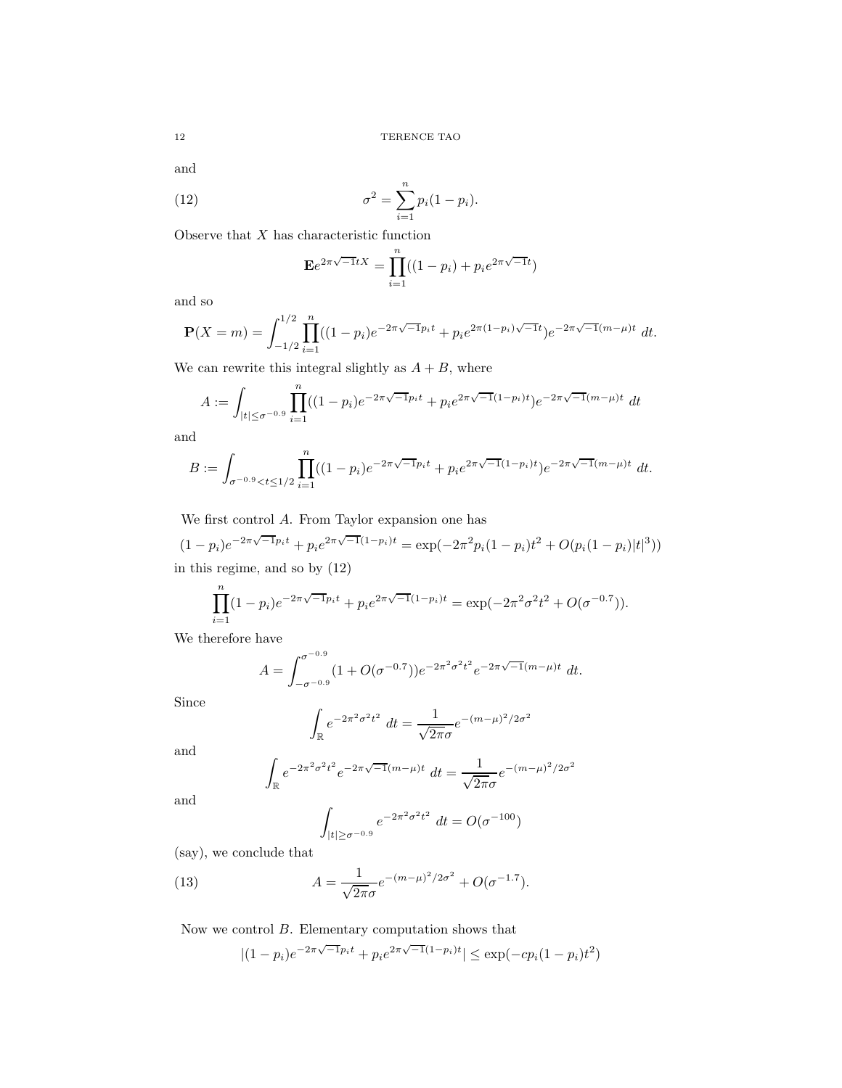and

(12) 
$$
\sigma^2 = \sum_{i=1}^n p_i (1 - p_i).
$$

Observe that  $X$  has characteristic function

$$
\mathbf{E}e^{2\pi\sqrt{-1}tX} = \prod_{i=1}^{n}((1-p_i) + p_i e^{2\pi\sqrt{-1}t})
$$

and so

$$
\mathbf{P}(X=m) = \int_{-1/2}^{1/2} \prod_{i=1}^{n} ((1-p_i)e^{-2\pi\sqrt{-1}p_i t} + p_i e^{2\pi(1-p_i)\sqrt{-1}t})e^{-2\pi\sqrt{-1}(m-\mu)t} dt.
$$

We can rewrite this integral slightly as  $A + B$ , where

$$
A := \int_{|t| \le \sigma^{-0.9}} \prod_{i=1}^n ((1 - p_i)e^{-2\pi\sqrt{-1}p_i t} + p_i e^{2\pi\sqrt{-1}(1 - p_i)t})e^{-2\pi\sqrt{-1}(m - \mu)t} dt
$$

and

$$
B := \int_{\sigma^{-0.9} < t \le 1/2} \prod_{i=1}^n ((1 - p_i)e^{-2\pi\sqrt{-1}p_i t} + p_i e^{2\pi\sqrt{-1}(1 - p_i)t}) e^{-2\pi\sqrt{-1}(m - \mu)t} \, dt.
$$

We first control A. From Taylor expansion one has

$$
(1 - p_i)e^{-2\pi\sqrt{-1}p_it} + p_i e^{2\pi\sqrt{-1}(1 - p_i)t} = \exp(-2\pi^2 p_i(1 - p_i)t^2 + O(p_i(1 - p_i)|t|^3))
$$
  
in this regime, and so by (12)

$$
\prod_{i=1}^{n} (1 - p_i) e^{-2\pi \sqrt{-1}p_i t} + p_i e^{2\pi \sqrt{-1}(1 - p_i)t} = \exp(-2\pi^2 \sigma^2 t^2 + O(\sigma^{-0.7})).
$$

We therefore have

$$
A = \int_{-\sigma^{-0.9}}^{\sigma^{-0.9}} (1 + O(\sigma^{-0.7})) e^{-2\pi^2 \sigma^2 t^2} e^{-2\pi \sqrt{-1} (m - \mu)t} dt.
$$

Since

$$
\int_{\mathbb{R}} e^{-2\pi^2 \sigma^2 t^2} dt = \frac{1}{\sqrt{2\pi}\sigma} e^{-(m-\mu)^2/2\sigma^2}
$$

and

$$
\int_{\mathbb{R}} e^{-2\pi^2 \sigma^2 t^2} e^{-2\pi \sqrt{-1}(m-\mu)t} dt = \frac{1}{\sqrt{2\pi}\sigma} e^{-(m-\mu)^2/2\sigma^2}
$$

and

$$
\int_{|t| \ge \sigma^{-0.9}} e^{-2\pi^2 \sigma^2 t^2} dt = O(\sigma^{-100})
$$

(say), we conclude that

(13) 
$$
A = \frac{1}{\sqrt{2\pi}\sigma}e^{-(m-\mu)^2/2\sigma^2} + O(\sigma^{-1.7}).
$$

Now we control  $B$ . Elementary computation shows that

$$
|(1-p_i)e^{-2\pi\sqrt{-1}p_i t} + p_i e^{2\pi\sqrt{-1}(1-p_i)t}| \le \exp(-cp_i(1-p_i)t^2)
$$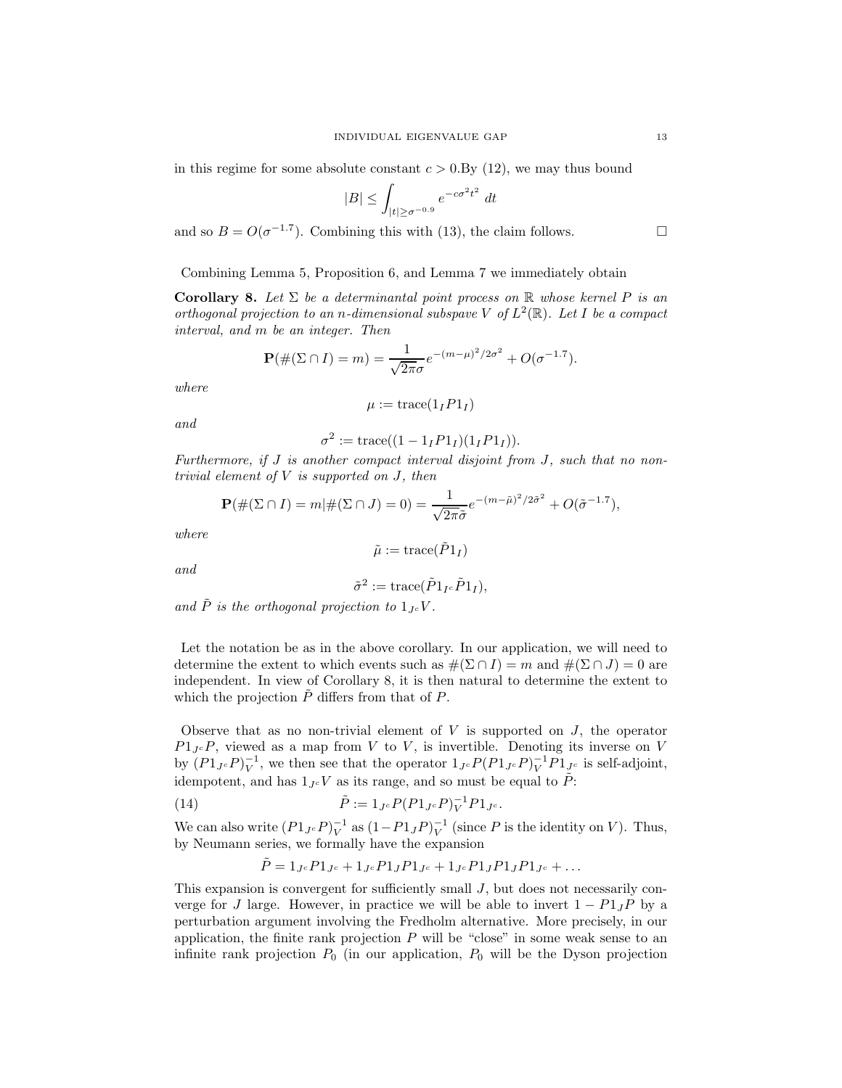in this regime for some absolute constant  $c > 0.8y(12)$ , we may thus bound

$$
|B| \le \int_{|t| \ge \sigma^{-0.9}} e^{-c\sigma^2 t^2} dt
$$

and so  $B = O(\sigma^{-1.7})$ . Combining this with (13), the claim follows.

Combining Lemma 5, Proposition 6, and Lemma 7 we immediately obtain

**Corollary 8.** Let  $\Sigma$  be a determinantal point process on  $\mathbb R$  whose kernel P is an orthogonal projection to an n-dimensional subspave V of  $L^2(\mathbb{R})$ . Let I be a compact interval, and m be an integer. Then

$$
\mathbf{P}(\#(\Sigma \cap I) = m) = \frac{1}{\sqrt{2\pi}\sigma}e^{-(m-\mu)^2/2\sigma^2} + O(\sigma^{-1.7}).
$$

where

$$
\mu := \text{trace}(1_I P 1_I)
$$

and

$$
\sigma^2 := \text{trace}((1 - 1_I P 1_I)(1_I P 1_I)).
$$

Furthermore, if J is another compact interval disjoint from J, such that no nontrivial element of  $V$  is supported on  $J$ , then

$$
\mathbf{P}(\#(\Sigma \cap I) = m | \#(\Sigma \cap J) = 0) = \frac{1}{\sqrt{2\pi}\tilde{\sigma}} e^{-(m-\tilde{\mu})^2/2\tilde{\sigma}^2} + O(\tilde{\sigma}^{-1.7}),
$$

where

$$
\tilde{\mu}:=\text{trace}(\tilde{P}1_I)
$$

and

$$
\tilde{\sigma}^2 := \text{trace}(\tilde{P}1_{I^c}\tilde{P}1_I),
$$

and  $\tilde{P}$  is the orthogonal projection to  $1_{I} \circ V$ .

Let the notation be as in the above corollary. In our application, we will need to determine the extent to which events such as  $\#(\Sigma \cap I) = m$  and  $\#(\Sigma \cap J) = 0$  are independent. In view of Corollary 8, it is then natural to determine the extent to which the projection  $\tilde{P}$  differs from that of P.

Observe that as no non-trivial element of  $V$  is supported on  $J$ , the operator  $P1_{Jc}P$ , viewed as a map from V to V, is invertible. Denoting its inverse on V by  $(P1_{J^c}P)^{-1}_{V}$ , we then see that the operator  $1_{J^c}P(P1_{J^c}P)^{-1}_{V}P1_{J^c}$  is self-adjoint, idempotent, and has  $1_{Jc}V$  as its range, and so must be equal to  $\tilde{P}$ :

(14) 
$$
\tilde{P} := 1_{J^c} P (P 1_{J^c} P)^{-1}_{V} P 1_{J^c}.
$$

We can also write  $(P1_{J^c}P)^{-1}_{V}$  as  $(1-P1_{J}P)^{-1}_{V}$  (since P is the identity on V). Thus, by Neumann series, we formally have the expansion

$$
\tilde{P} = 1_{J^c} P 1_{J^c} + 1_{J^c} P 1_J P 1_{J^c} + 1_{J^c} P 1_J P 1_J P 1_{J^c} + \dots
$$

This expansion is convergent for sufficiently small  $J$ , but does not necessarily converge for J large. However, in practice we will be able to invert  $1 - P1_JP$  by a perturbation argument involving the Fredholm alternative. More precisely, in our application, the finite rank projection  $P$  will be "close" in some weak sense to an infinite rank projection  $P_0$  (in our application,  $P_0$  will be the Dyson projection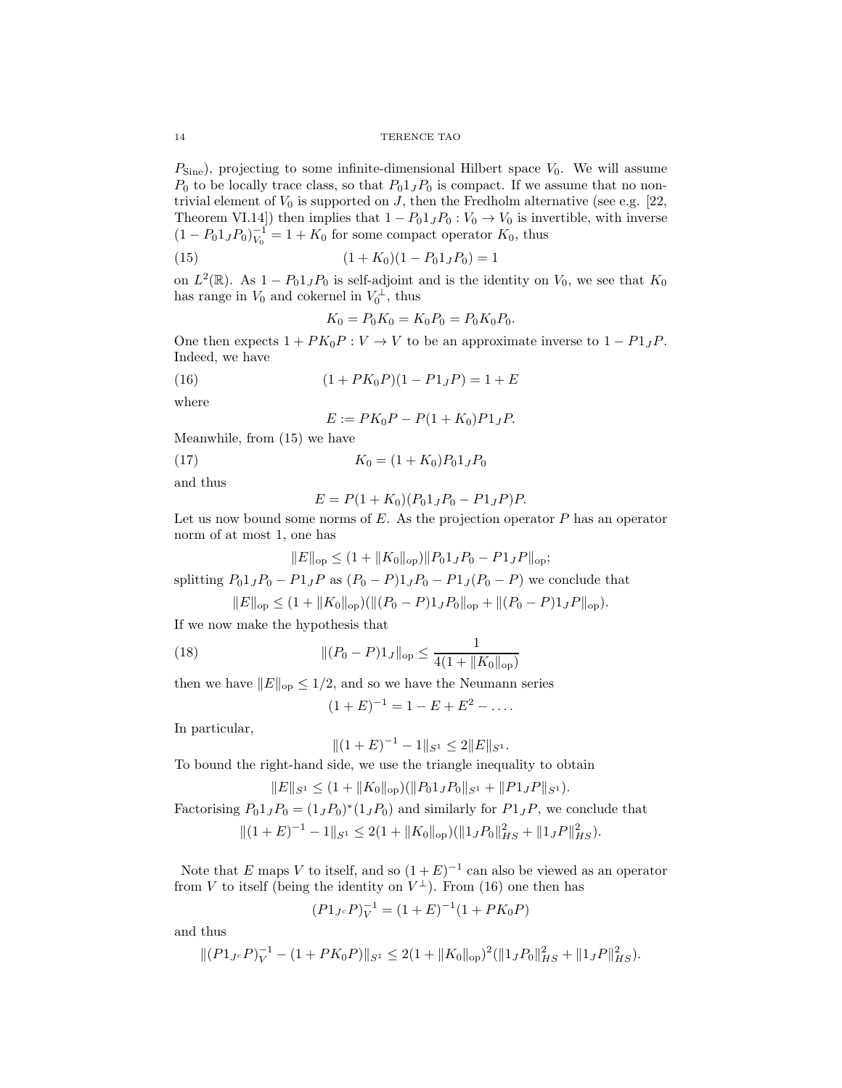$P_{\text{Sine}}$ ), projecting to some infinite-dimensional Hilbert space  $V_0$ . We will assume  $P_0$  to be locally trace class, so that  $P_01_JP_0$  is compact. If we assume that no nontrivial element of  $V_0$  is supported on J, then the Fredholm alternative (see e.g. [22, Theorem VI.14]) then implies that  $1 - P_0 1_J P_0 : V_0 \to V_0$  is invertible, with inverse  $(1 - P_0 1_J P_0)_{V_0}^{-1} = 1 + K_0$  for some compact operator  $K_0$ , thus

(15) 
$$
(1 + K_0)(1 - P_0 1_J P_0) = 1
$$

on  $L^2(\mathbb{R})$ . As  $1 - P_0 1_J P_0$  is self-adjoint and is the identity on  $V_0$ , we see that  $K_0$ has range in  $V_0$  and cokernel in  $V_0^{\perp}$ , thus

$$
K_0 = P_0 K_0 = K_0 P_0 = P_0 K_0 P_0.
$$

One then expects  $1 + PK_0P : V \to V$  to be an approximate inverse to  $1 - P1_JP$ . Indeed, we have

(16) 
$$
(1 + PK_0P)(1 - P1_JP) = 1 + E
$$

where

$$
E := PK_0P - P(1 + K_0)P1_JP.
$$

Meanwhile, from (15) we have

(17) 
$$
K_0 = (1 + K_0) P_0 1_J P_0
$$

and thus

$$
E = P(1 + K_0)(P_0 1_J P_0 - P1_J P)P.
$$

Let us now bound some norms of  $E$ . As the projection operator  $P$  has an operator norm of at most 1, one has

$$
||E||_{\text{op}} \le (1 + ||K_0||_{\text{op}}) ||P_0 1_J P_0 - P_1_J P||_{\text{op}};
$$

splitting  $P_0 1_J P_0 - P_1 J P_0 = (P_0 - P_0) 1_J P_0 - P_1 J (P_0 - P_0)$  we conclude that

$$
||E||_{\text{op}} \le (1 + ||K_0||_{\text{op}})(||(P_0 - P)1_J P_0||_{\text{op}} + ||(P_0 - P)1_J P||_{\text{op}}).
$$

If we now make the hypothesis that

(18) 
$$
\| (P_0 - P) 1_J \|_{\text{op}} \le \frac{1}{4(1 + \|K_0\|_{\text{op}})}
$$

then we have  $||E||_{op} \leq 1/2$ , and so we have the Neumann series

$$
(1+E)^{-1} = 1 - E + E^2 - \dots
$$

In particular,

$$
||(1+E)^{-1} - 1||_{S^1} \le 2||E||_{S^1}.
$$

To bound the right-hand side, we use the triangle inequality to obtain

$$
||E||_{S^1} \le (1 + ||K_0||_{op})(||P_0 1_J P_0||_{S^1} + ||P_1 J P||_{S^1}).
$$

Factorising  $P_0 1_J P_0 = (1_J P_0)^* (1_J P_0)$  and similarly for  $P_1 I P$ , we conclude that  $||(1+E)^{-1} - 1||_{S^1} \leq 2(1 + ||K_0||_{op})(||1_JP_0||_{HS}^2 + ||1_JP||_{HS}^2).$ 

Note that E maps V to itself, and so  $(1+E)^{-1}$  can also be viewed as an operator from V to itself (being the identity on  $V^{\perp}$ ). From (16) one then has

$$
(P1_{J^c}P)^{-1}_V = (1+E)^{-1}(1+PK_0P)
$$

and thus

$$
||(P1_{J} \circ P)_{V}^{-1} - (1 + PK_0P)||_{S^1} \leq 2(1 + ||K_0||_{op})^2(||1_JP_0||_{HS}^2 + ||1_JP||_{HS}^2).
$$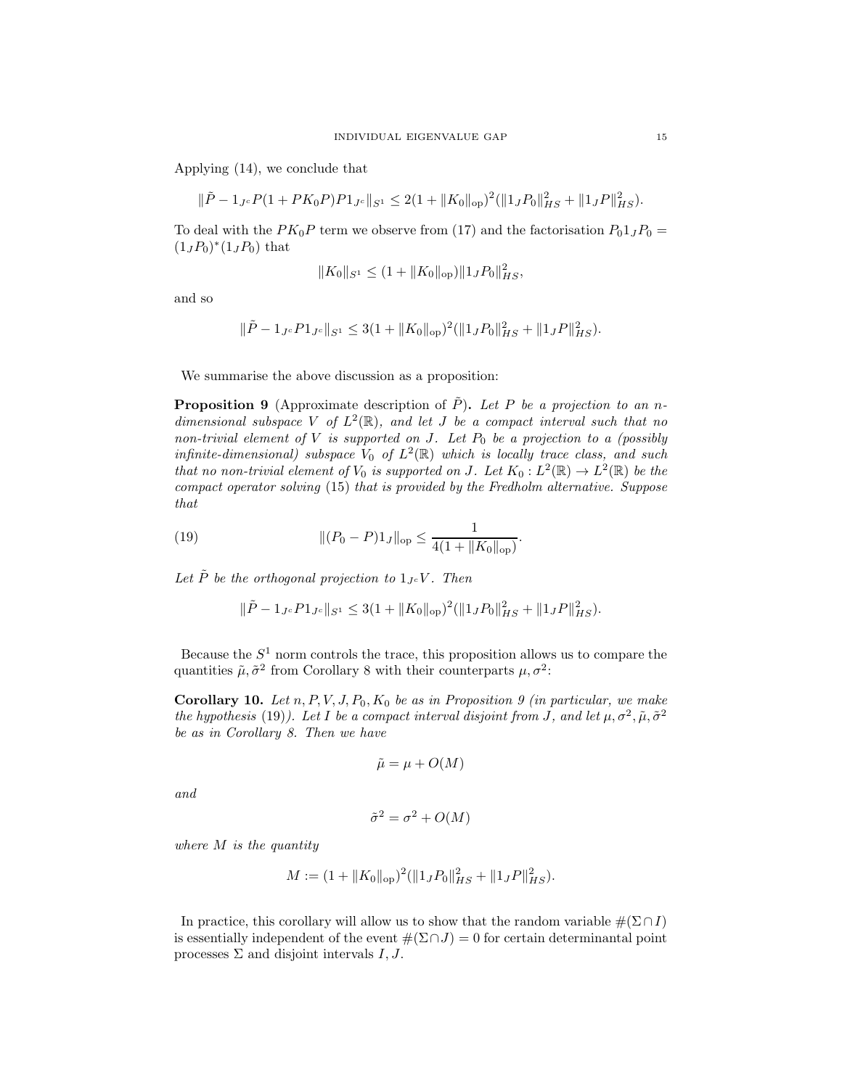Applying (14), we conclude that

$$
\|\tilde{P} - 1_{J^c} P (1 + PK_0 P) P 1_{J^c} \|_{S^1} \le 2(1 + \|K_0\|_{op})^2 (\|1_J P_0\|_{HS}^2 + \|1_J P\|_{HS}^2).
$$

To deal with the  $PK_0P$  term we observe from (17) and the factorisation  $P_01_JP_0 =$  $(1_JP_0)$ <sup>\*</sup> $(1_JP_0)$  that

$$
||K_0||_{S^1} \le (1 + ||K_0||_{op})||1_J P_0||_{HS}^2,
$$

and so

$$
\|\tilde{P} - 1_{J^c} P 1_{J^c} \|_{S^1} \leq 3(1 + \|K_0\|_{\text{op}})^2 (\|1_J P_0\|_{HS}^2 + \|1_J P\|_{HS}^2).
$$

We summarise the above discussion as a proposition:

**Proposition 9** (Approximate description of P). Let P be a projection to an ndimensional subspace V of  $L^2(\mathbb{R})$ , and let J be a compact interval such that no non-trivial element of V is supported on J. Let  $P_0$  be a projection to a (possibly infinite-dimensional) subspace  $V_0$  of  $L^2(\mathbb{R})$  which is locally trace class, and such that no non-trivial element of  $V_0$  is supported on J. Let  $K_0: L^2(\mathbb{R}) \to L^2(\mathbb{R})$  be the compact operator solving (15) that is provided by the Fredholm alternative. Suppose that

(19) 
$$
\| (P_0 - P) 1_J \|_{\text{op}} \leq \frac{1}{4(1 + \|K_0\|_{\text{op}})}.
$$

Let  $\tilde{P}$  be the orthogonal projection to  $1_{Jc}V$ . Then

$$
\|\tilde{P} - 1_{J^c} P 1_{J^c} \|_{S^1} \leq 3(1 + \|K_0\|_{\text{op}})^2 (\|1_J P_0\|_{HS}^2 + \|1_J P\|_{HS}^2).
$$

Because the  $S<sup>1</sup>$  norm controls the trace, this proposition allows us to compare the quantities  $\tilde{\mu}, \tilde{\sigma}^2$  from Corollary 8 with their counterparts  $\mu, \sigma^2$ :

Corollary 10. Let  $n, P, V, J, P_0, K_0$  be as in Proposition 9 (in particular, we make the hypothesis (19)). Let I be a compact interval disjoint from J, and let  $\mu$ ,  $\sigma^2$ ,  $\tilde{\mu}$ ,  $\tilde{\sigma}^2$ be as in Corollary 8. Then we have

$$
\tilde{\mu} = \mu + O(M)
$$

and

$$
\tilde{\sigma}^2 = \sigma^2 + O(M)
$$

where  $M$  is the quantity

$$
M := (1 + \|K_0\|_{\text{op}})^2 (\|1_J P_0\|_{HS}^2 + \|1_J P\|_{HS}^2).
$$

In practice, this corollary will allow us to show that the random variable  $#(\Sigma \cap I)$ is essentially independent of the event  $\#(\Sigma \cap J) = 0$  for certain determinantal point processes  $\Sigma$  and disjoint intervals  $I, J$ .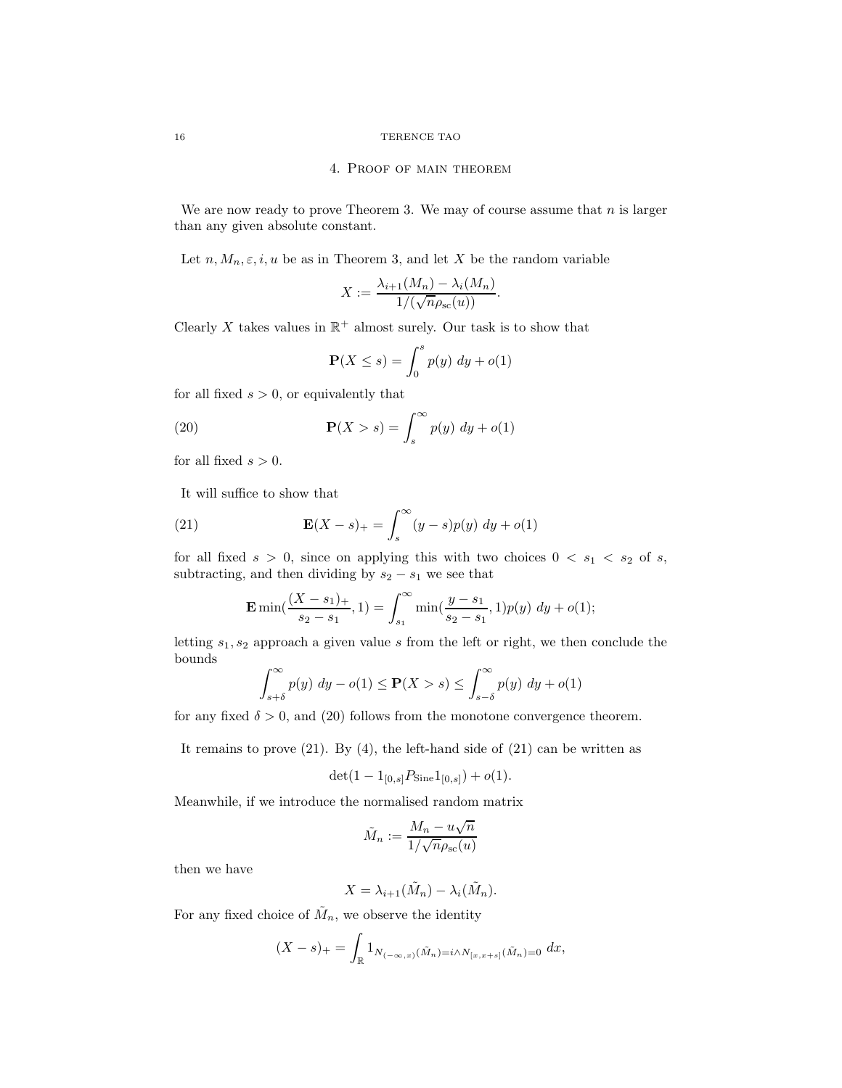#### 16 TERENCE TAO

### 4. Proof of main theorem

We are now ready to prove Theorem 3. We may of course assume that  $n$  is larger than any given absolute constant.

Let  $n, M_n, \varepsilon, i, u$  be as in Theorem 3, and let X be the random variable

$$
X := \frac{\lambda_{i+1}(M_n) - \lambda_i(M_n)}{1/(\sqrt{n}\rho_{\rm sc}(u))}.
$$

Clearly X takes values in  $\mathbb{R}^+$  almost surely. Our task is to show that

$$
\mathbf{P}(X \le s) = \int_0^s p(y) \, dy + o(1)
$$

for all fixed  $s > 0$ , or equivalently that

(20) 
$$
\mathbf{P}(X > s) = \int_{s}^{\infty} p(y) \ dy + o(1)
$$

for all fixed  $s > 0$ .

It will suffice to show that

(21) 
$$
\mathbf{E}(X - s)_+ = \int_s^\infty (y - s) p(y) \ dy + o(1)
$$

for all fixed  $s > 0$ , since on applying this with two choices  $0 < s_1 < s_2$  of s, subtracting, and then dividing by  $s_2 - s_1$  we see that

$$
\mathbf{E}\min(\frac{(X-s_1)_+}{s_2-s_1},1)=\int_{s_1}^{\infty}\min(\frac{y-s_1}{s_2-s_1},1)p(y)\;dy+o(1);
$$

letting  $s_1, s_2$  approach a given value s from the left or right, we then conclude the bounds

$$
\int_{s+\delta}^{\infty} p(y) dy - o(1) \le \mathbf{P}(X > s) \le \int_{s-\delta}^{\infty} p(y) dy + o(1)
$$

for any fixed  $\delta > 0$ , and (20) follows from the monotone convergence theorem.

It remains to prove  $(21)$ . By  $(4)$ , the left-hand side of  $(21)$  can be written as

$$
\det(1 - 1_{[0,s]}P_{\text{Sine}}1_{[0,s]}) + o(1).
$$

Meanwhile, if we introduce the normalised random matrix

$$
\tilde{M}_n := \frac{M_n - u\sqrt{n}}{1/\sqrt{n}\rho_{\rm sc}(u)}
$$

then we have

$$
X = \lambda_{i+1}(\tilde{M}_n) - \lambda_i(\tilde{M}_n).
$$

For any fixed choice of  $\tilde{M}_n$ , we observe the identity

$$
(X - s)_+ = \int_{\mathbb{R}} 1_{N_{(-\infty, x)}(\tilde{M}_n) = i \wedge N_{[x, x+s]}(\tilde{M}_n) = 0} dx,
$$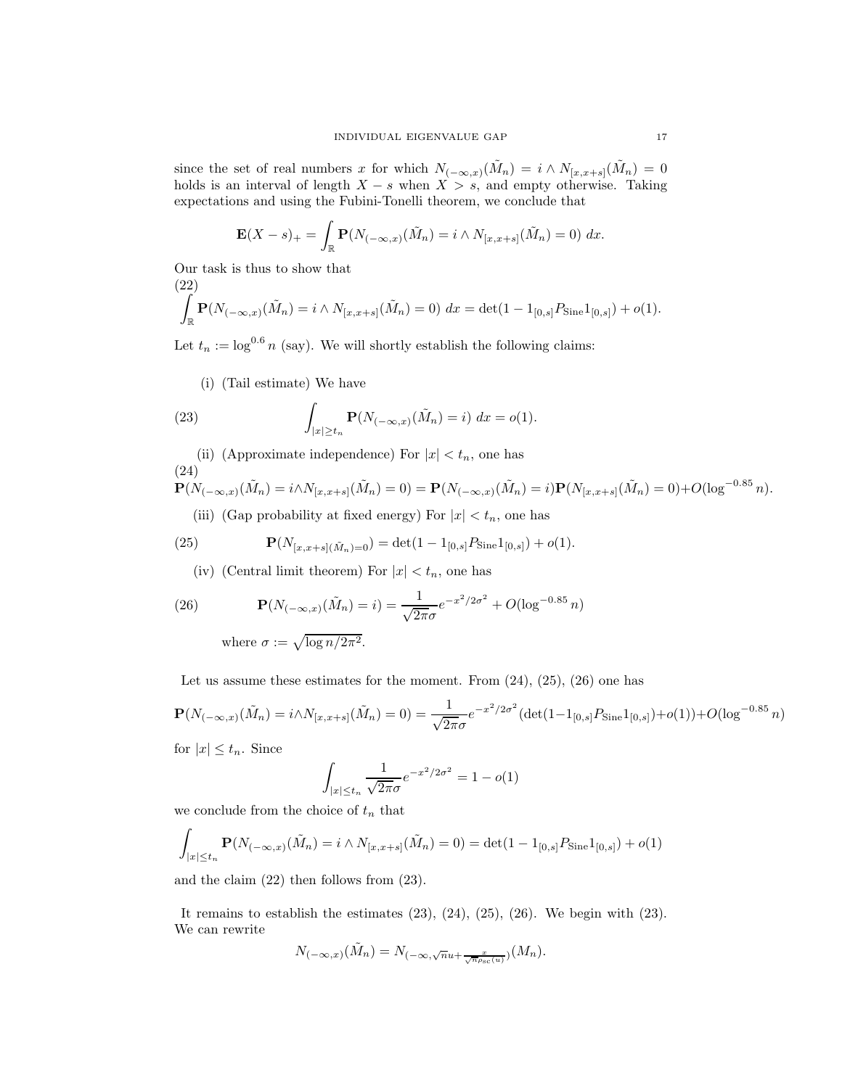since the set of real numbers x for which  $N_{(-\infty,x)}(\tilde{M}_n) = i \wedge N_{[x,x+s]}(\tilde{M}_n) = 0$ holds is an interval of length  $X - s$  when  $X > s$ , and empty otherwise. Taking expectations and using the Fubini-Tonelli theorem, we conclude that

$$
\mathbf{E}(X-s)_+ = \int_{\mathbb{R}} \mathbf{P}(N_{(-\infty,x)}(\tilde{M}_n) = i \wedge N_{[x,x+s]}(\tilde{M}_n) = 0) dx.
$$

Our task is thus to show that

 $(22)$ 

$$
\int_{\mathbb{R}} \mathbf{P}(N_{(-\infty,x)}(\tilde{M}_n) = i \wedge N_{[x,x+s]}(\tilde{M}_n) = 0) dx = \det(1 - 1_{[0,s]} P_{\text{Sine}} 1_{[0,s]}) + o(1).
$$

Let  $t_n := \log^{0.6} n$  (say). We will shortly establish the following claims:

(i) (Tail estimate) We have

(23) 
$$
\int_{|x| \ge t_n} \mathbf{P}(N_{(-\infty,x)}(\tilde{M}_n) = i) dx = o(1).
$$

(ii) (Approximate independence) For  $|x| < t_n$ , one has (24)

$$
\mathbf{P}(N_{(-\infty,x)}(\tilde{M}_n) = i \wedge N_{[x,x+s]}(\tilde{M}_n) = 0) = \mathbf{P}(N_{(-\infty,x)}(\tilde{M}_n) = i)\mathbf{P}(N_{[x,x+s]}(\tilde{M}_n) = 0) + O(\log^{-0.85} n).
$$

(iii) (Gap probability at fixed energy) For  $|x| < t_n$ , one has

(25) 
$$
\mathbf{P}(N_{[x,x+s](\tilde{M}_n)=0}) = \det(1 - 1_{[0,s]}P_{\text{Sine}}1_{[0,s]}) + o(1).
$$

(iv) (Central limit theorem) For  $|x| < t_n$ , one has

(26) 
$$
\mathbf{P}(N_{(-\infty,x)}(\tilde{M}_n) = i) = \frac{1}{\sqrt{2\pi}\sigma}e^{-x^2/2\sigma^2} + O(\log^{-0.85} n)
$$
  
where  $\sigma := \sqrt{\log n/2\pi^2}$ .

Let us assume these estimates for the moment. From  $(24)$ ,  $(25)$ ,  $(26)$  one has

$$
\mathbf{P}(N_{(-\infty,x)}(\tilde{M}_n) = i \wedge N_{[x,x+s]}(\tilde{M}_n) = 0) = \frac{1}{\sqrt{2\pi}\sigma} e^{-x^2/2\sigma^2} (\det(1 - 1_{[0,s]} P_{\text{Sine}} 1_{[0,s]}) + o(1)) + O(\log^{-0.85} n)
$$

for  $|x| \leq t_n$ . Since

$$
\int_{|x| \le t_n} \frac{1}{\sqrt{2\pi}\sigma} e^{-x^2/2\sigma^2} = 1 - o(1)
$$

we conclude from the choice of  $t_n$  that

$$
\int_{|x| \le t_n} \mathbf{P}(N_{(-\infty,x)}(\tilde{M}_n) = i \wedge N_{[x,x+s]}(\tilde{M}_n) = 0) = \det(1 - 1_{[0,s]} P_{\text{Sine}} 1_{[0,s]}) + o(1)
$$

and the claim (22) then follows from (23).

It remains to establish the estimates  $(23)$ ,  $(24)$ ,  $(25)$ ,  $(26)$ . We begin with  $(23)$ . We can rewrite

$$
N_{(-\infty,x)}(\tilde M_n)=N_{(-\infty,\sqrt{n}u+\frac{x}{\sqrt{n}\rho_{\rm sc}(u)})}(M_n).
$$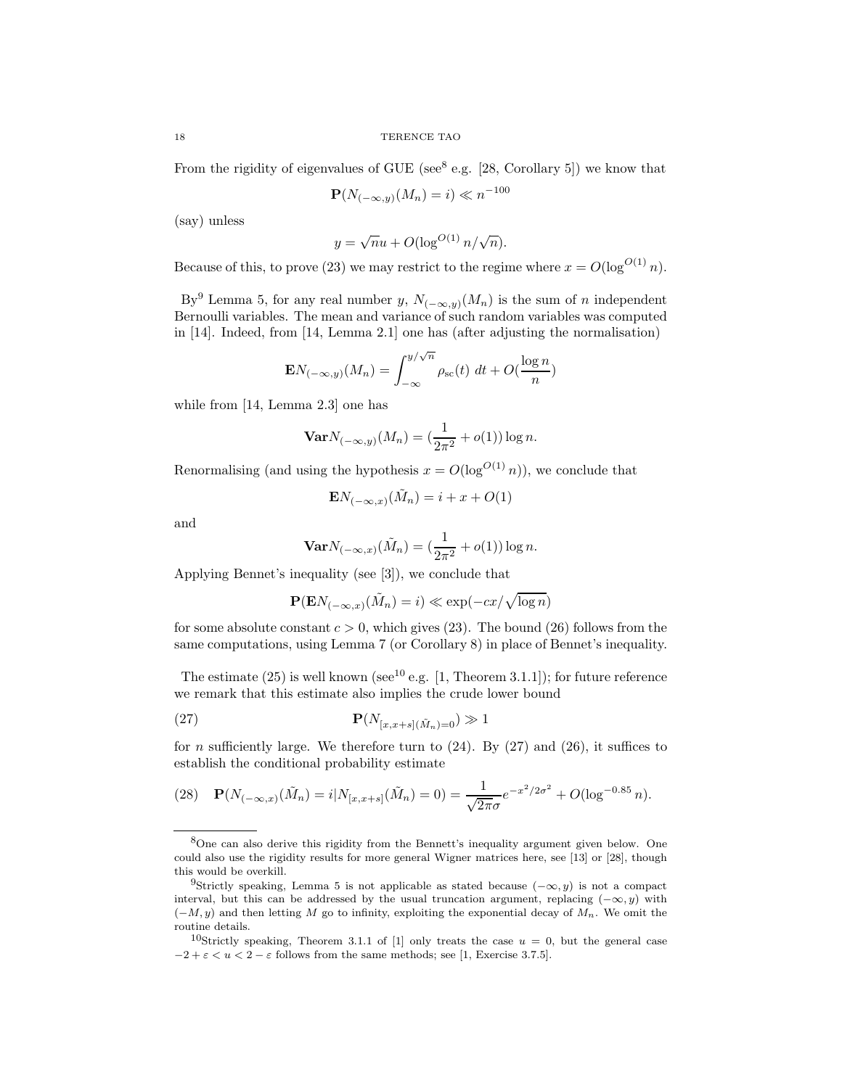From the rigidity of eigenvalues of GUE (see $^8$  e.g. [28, Corollary 5]) we know that

$$
\mathbf{P}(N_{(-\infty,y)}(M_n) = i) \ll n^{-100}
$$

(say) unless

$$
y = \sqrt{n}u + O(\log^{O(1)} n/\sqrt{n}).
$$

Because of this, to prove (23) we may restrict to the regime where  $x = O(\log^{O(1)} n)$ .

By<sup>9</sup> Lemma 5, for any real number y,  $N_{(-\infty,y)}(M_n)$  is the sum of n independent Bernoulli variables. The mean and variance of such random variables was computed in [14]. Indeed, from [14, Lemma 2.1] one has (after adjusting the normalisation)

$$
\mathbf{E} N_{(-\infty, y)}(M_n) = \int_{-\infty}^{y/\sqrt{n}} \rho_{\rm sc}(t) \, dt + O(\frac{\log n}{n})
$$

while from [14, Lemma 2.3] one has

$$
\mathbf{Var} N_{(-\infty, y)}(M_n) = (\frac{1}{2\pi^2} + o(1)) \log n.
$$

Renormalising (and using the hypothesis  $x = O(\log^{O(1)} n)$ ), we conclude that

$$
\mathbf{E}N_{(-\infty,x)}(\tilde{M}_n) = i + x + O(1)
$$

and

$$
\mathbf{Var} N_{(-\infty,x)}(\tilde{M}_n) = \left(\frac{1}{2\pi^2} + o(1)\right) \log n.
$$

Applying Bennet's inequality (see [3]), we conclude that

$$
\mathbf{P}(\mathbf{E}N_{(-\infty,x)}(\tilde{M}_n) = i) \ll \exp(-cx/\sqrt{\log n})
$$

for some absolute constant  $c > 0$ , which gives (23). The bound (26) follows from the same computations, using Lemma 7 (or Corollary 8) in place of Bennet's inequality.

The estimate (25) is well known (see<sup>10</sup> e.g. [1, Theorem 3.1.1]); for future reference we remark that this estimate also implies the crude lower bound

$$
\mathbf{P}(N_{[x,x+s](\tilde{M}_n)=0}) \gg 1
$$

for *n* sufficiently large. We therefore turn to  $(24)$ . By  $(27)$  and  $(26)$ , it suffices to establish the conditional probability estimate

(28) 
$$
\mathbf{P}(N_{(-\infty,x)}(\tilde{M}_n) = i | N_{[x,x+s]}(\tilde{M}_n) = 0) = \frac{1}{\sqrt{2\pi}\sigma} e^{-x^2/2\sigma^2} + O(\log^{-0.85} n).
$$

<sup>8</sup>One can also derive this rigidity from the Bennett's inequality argument given below. One could also use the rigidity results for more general Wigner matrices here, see [13] or [28], though this would be overkill.

<sup>&</sup>lt;sup>9</sup>Strictly speaking, Lemma 5 is not applicable as stated because  $(-\infty, y)$  is not a compact interval, but this can be addressed by the usual truncation argument, replacing  $(-\infty, y)$  with  $(-M, y)$  and then letting M go to infinity, exploiting the exponential decay of  $M_n$ . We omit the routine details.

<sup>&</sup>lt;sup>10</sup>Strictly speaking, Theorem 3.1.1 of [1] only treats the case  $u = 0$ , but the general case  $-2 + \varepsilon < u < 2 - \varepsilon$  follows from the same methods; see [1, Exercise 3.7.5].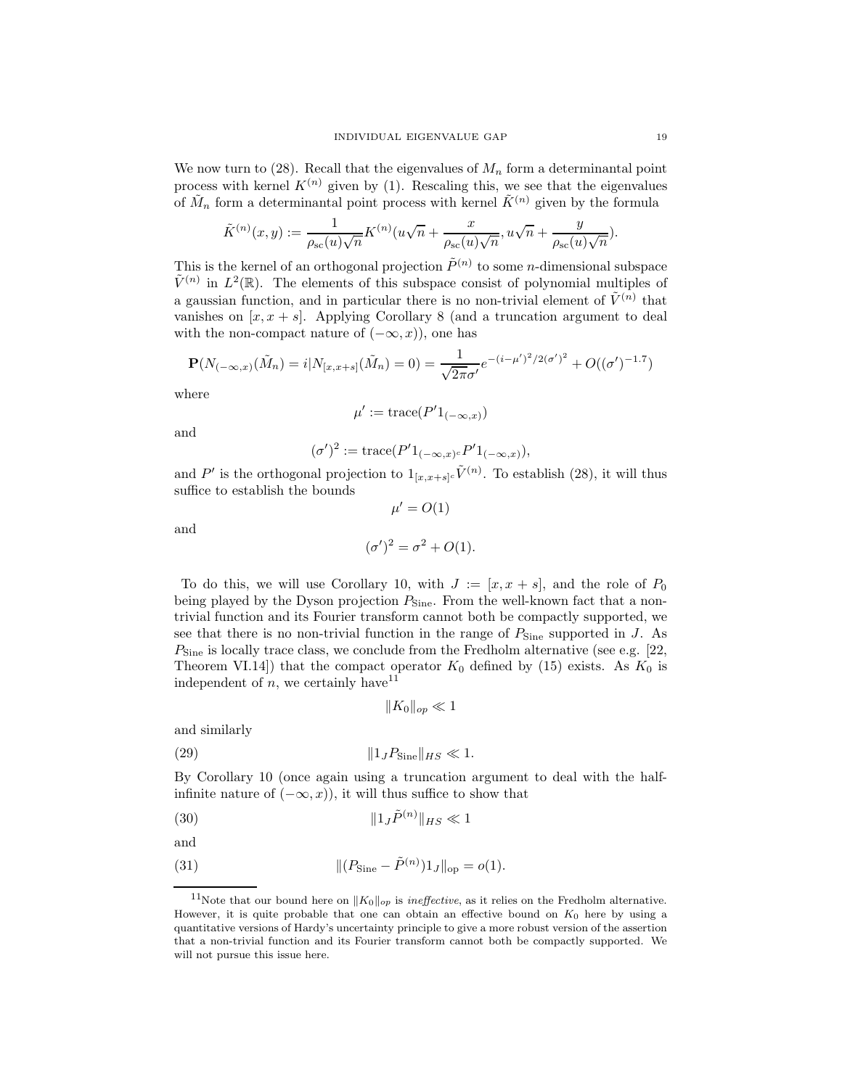We now turn to  $(28)$ . Recall that the eigenvalues of  $M_n$  form a determinantal point process with kernel  $K^{(n)}$  given by (1). Rescaling this, we see that the eigenvalues of  $\tilde{M}_n$  form a determinantal point process with kernel  $\tilde{K}^{(n)}$  given by the formula

$$
\tilde{K}^{(n)}(x,y) := \frac{1}{\rho_{\rm sc}(u)\sqrt{n}} K^{(n)}(u\sqrt{n} + \frac{x}{\rho_{\rm sc}(u)\sqrt{n}}, u\sqrt{n} + \frac{y}{\rho_{\rm sc}(u)\sqrt{n}}).
$$

This is the kernel of an orthogonal projection  $\tilde{P}^{(n)}$  to some *n*-dimensional subspace  $\tilde{V}^{(n)}$  in  $L^2(\mathbb{R})$ . The elements of this subspace consist of polynomial multiples of a gaussian function, and in particular there is no non-trivial element of  $\tilde{V}^{(n)}$  that vanishes on  $[x, x + s]$ . Applying Corollary 8 (and a truncation argument to deal with the non-compact nature of  $(-\infty, x)$ , one has

$$
\mathbf{P}(N_{(-\infty,x)}(\tilde{M}_n) = i | N_{[x,x+s]}(\tilde{M}_n) = 0) = \frac{1}{\sqrt{2\pi}\sigma'} e^{-(i-\mu')^2/2(\sigma')^2} + O((\sigma')^{-1.7})
$$

where

$$
\mu' := \operatorname{trace}(P'1_{(-\infty,x)})
$$

and

$$
(\sigma')^2 := \operatorname{trace}(P'1_{(-\infty,x)^c}P'1_{(-\infty,x)}),
$$

and P' is the orthogonal projection to  $1_{[x,x+s]^c} \tilde{V}^{(n)}$ . To establish (28), it will thus suffice to establish the bounds  $\mu' = O(1)$ 

and

$$
(\sigma')^2 = \sigma^2 + O(1).
$$

To do this, we will use Corollary 10, with  $J := [x, x + s]$ , and the role of  $P_0$ being played by the Dyson projection  $P_{\text{Sine}}$ . From the well-known fact that a nontrivial function and its Fourier transform cannot both be compactly supported, we see that there is no non-trivial function in the range of  $P_{\text{Sine}}$  supported in J. As  $P_{\text{Sine}}$  is locally trace class, we conclude from the Fredholm alternative (see e.g. [22, Theorem VI.14]) that the compact operator  $K_0$  defined by (15) exists. As  $K_0$  is independent of n, we certainly have  $11$ 

$$
||K_0||_{op} \ll 1
$$

and similarly

(29) k1JPSinekHS ≪ 1.

By Corollary 10 (once again using a truncation argument to deal with the halfinfinite nature of  $(-\infty, x)$ , it will thus suffice to show that

(30) <sup>k</sup>1JP˜(n) kHS ≪ 1

$$
\quad\text{and}\quad
$$

(31) 
$$
\| (P_{\text{Sine}} - \tilde{P}^{(n)}) 1_J \|_{\text{op}} = o(1).
$$

<sup>&</sup>lt;sup>11</sup>Note that our bound here on  $||K_0||_{op}$  is *ineffective*, as it relies on the Fredholm alternative. However, it is quite probable that one can obtain an effective bound on  $K_0$  here by using a quantitative versions of Hardy's uncertainty principle to give a more robust version of the assertion that a non-trivial function and its Fourier transform cannot both be compactly supported. We will not pursue this issue here.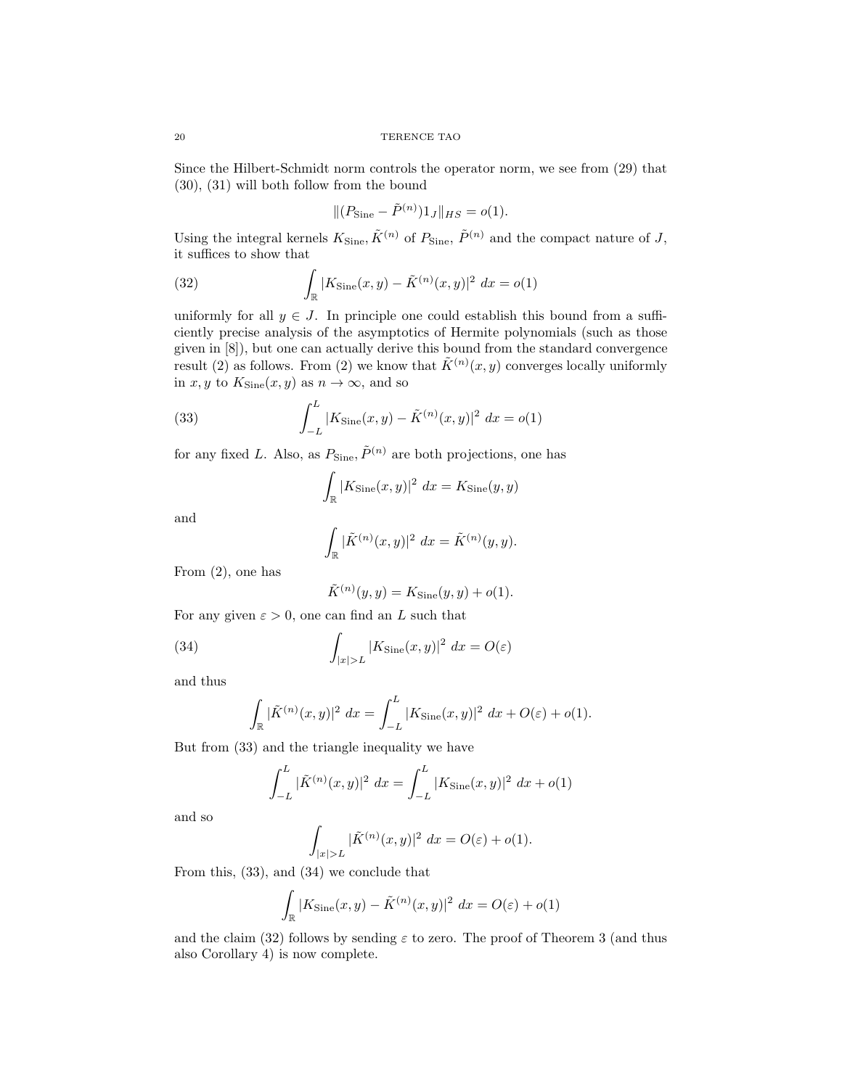Since the Hilbert-Schmidt norm controls the operator norm, we see from (29) that (30), (31) will both follow from the bound

$$
|| (P_{\text{Sine}} - \tilde{P}^{(n)}) 1_J ||_{HS} = o(1).
$$

Using the integral kernels  $K_{\text{Sine}}$ ,  $\tilde{K}^{(n)}$  of  $P_{\text{Sine}}$ ,  $\tilde{P}^{(n)}$  and the compact nature of J, it suffices to show that

(32) 
$$
\int_{\mathbb{R}} |K_{\text{Sine}}(x, y) - \tilde{K}^{(n)}(x, y)|^2 dx = o(1)
$$

uniformly for all  $y \in J$ . In principle one could establish this bound from a sufficiently precise analysis of the asymptotics of Hermite polynomials (such as those given in [8]), but one can actually derive this bound from the standard convergence result (2) as follows. From (2) we know that  $\tilde{K}^{(n)}(x, y)$  converges locally uniformly in x, y to  $K_{\text{Sine}}(x, y)$  as  $n \to \infty$ , and so

(33) 
$$
\int_{-L}^{L} |K_{\text{Sine}}(x, y) - \tilde{K}^{(n)}(x, y)|^2 dx = o(1)
$$

for any fixed L. Also, as  $P_{\text{Sine}}, \tilde{P}^{(n)}$  are both projections, one has

$$
\int_{\mathbb{R}} |K_{\text{Sine}}(x, y)|^2 dx = K_{\text{Sine}}(y, y)
$$

and

$$
\int_{\mathbb{R}} |\tilde{K}^{(n)}(x,y)|^2 \ dx = \tilde{K}^{(n)}(y,y).
$$

From (2), one has

$$
\tilde{K}^{(n)}(y, y) = K_{\text{Sine}}(y, y) + o(1).
$$

For any given  $\varepsilon > 0$ , one can find an L such that

(34) 
$$
\int_{|x|>L} |K_{\text{Sine}}(x,y)|^2 dx = O(\varepsilon)
$$

and thus

$$
\int_{\mathbb{R}} |\tilde{K}^{(n)}(x,y)|^2 dx = \int_{-L}^{L} |K_{\text{Sine}}(x,y)|^2 dx + O(\varepsilon) + o(1).
$$

But from (33) and the triangle inequality we have

$$
\int_{-L}^{L} |\tilde{K}^{(n)}(x,y)|^2 dx = \int_{-L}^{L} |K_{\text{Sine}}(x,y)|^2 dx + o(1)
$$

and so

$$
\int_{|x|>L} |\tilde{K}^{(n)}(x,y)|^2 \, dx = O(\varepsilon) + o(1).
$$

From this, (33), and (34) we conclude that

$$
\int_{\mathbb{R}} |K_{\text{Sine}}(x, y) - \tilde{K}^{(n)}(x, y)|^2 dx = O(\varepsilon) + o(1)
$$

and the claim (32) follows by sending  $\varepsilon$  to zero. The proof of Theorem 3 (and thus also Corollary 4) is now complete.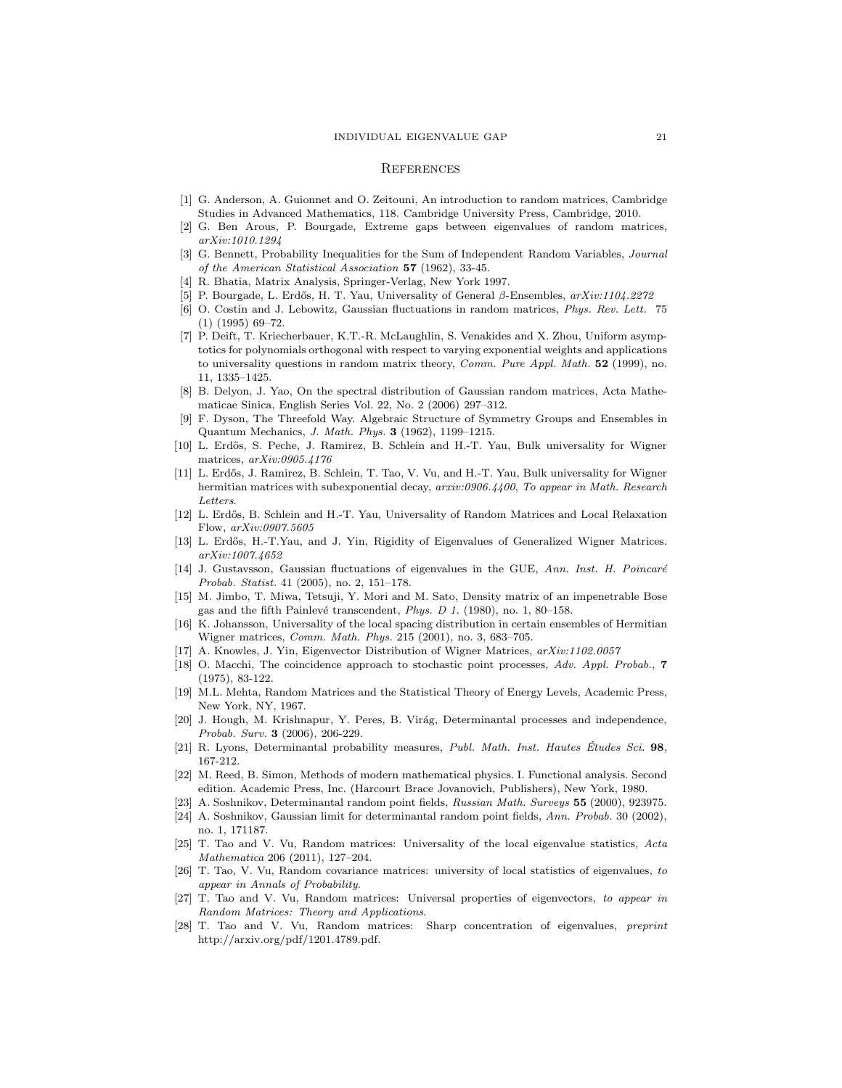#### **REFERENCES**

- [1] G. Anderson, A. Guionnet and O. Zeitouni, An introduction to random matrices, Cambridge Studies in Advanced Mathematics, 118. Cambridge University Press, Cambridge, 2010.
- [2] G. Ben Arous, P. Bourgade, Extreme gaps between eigenvalues of random matrices, arXiv:1010.1294
- [3] G. Bennett, Probability Inequalities for the Sum of Independent Random Variables, Journal of the American Statistical Association 57 (1962), 33-45.
- [4] R. Bhatia, Matrix Analysis, Springer-Verlag, New York 1997.
- [5] P. Bourgade, L. Erdős, H. T. Yau, Universality of General  $\beta$ -Ensembles,  $arXiv:1104.2272$
- [6] O. Costin and J. Lebowitz, Gaussian fluctuations in random matrices, Phys. Rev. Lett. 75 (1) (1995) 69–72.
- [7] P. Deift, T. Kriecherbauer, K.T.-R. McLaughlin, S. Venakides and X. Zhou, Uniform asymptotics for polynomials orthogonal with respect to varying exponential weights and applications to universality questions in random matrix theory, Comm. Pure Appl. Math. 52 (1999), no. 11, 1335–1425.
- [8] B. Delyon, J. Yao, On the spectral distribution of Gaussian random matrices, Acta Mathematicae Sinica, English Series Vol. 22, No. 2 (2006) 297–312.
- [9] F. Dyson, The Threefold Way. Algebraic Structure of Symmetry Groups and Ensembles in Quantum Mechanics, J. Math. Phys. 3 (1962), 1199–1215.
- [10] L. Erdős, S. Peche, J. Ramirez, B. Schlein and H.-T. Yau, Bulk universality for Wigner matrices, arXiv:0905.4176
- [11] L. Erdős, J. Ramirez, B. Schlein, T. Tao, V. Vu, and H.-T. Yau, Bulk universality for Wigner hermitian matrices with subexponential decay, arxiv:0906.4400, To appear in Math. Research Letters.
- [12] L. Erdős, B. Schlein and H.-T. Yau, Universality of Random Matrices and Local Relaxation Flow, arXiv:0907.5605
- [13] L. Erdős, H.-T.Yau, and J. Yin, Rigidity of Eigenvalues of Generalized Wigner Matrices. arXiv:1007.4652
- [14] J. Gustavsson, Gaussian fluctuations of eigenvalues in the GUE, Ann. Inst. H. Poincaré Probab. Statist. 41 (2005), no. 2, 151–178.
- [15] M. Jimbo, T. Miwa, Tetsuji, Y. Mori and M. Sato, Density matrix of an impenetrable Bose gas and the fifth Painlevé transcendent, Phys. D 1. (1980), no. 1, 80-158.
- [16] K. Johansson, Universality of the local spacing distribution in certain ensembles of Hermitian Wigner matrices, Comm. Math. Phys. 215 (2001), no. 3, 683–705.
- [17] A. Knowles, J. Yin, Eigenvector Distribution of Wigner Matrices, arXiv:1102.0057
- [18] O. Macchi, The coincidence approach to stochastic point processes, Adv. Appl. Probab., 7 (1975), 83-122.
- [19] M.L. Mehta, Random Matrices and the Statistical Theory of Energy Levels, Academic Press, New York, NY, 1967.
- [20] J. Hough, M. Krishnapur, Y. Peres, B. Virág, Determinantal processes and independence, Probab. Surv. 3 (2006), 206-229.
- [21] R. Lyons, Determinantal probability measures, Publ. Math. Inst. Hautes Études Sci.  $98$ , 167-212.
- [22] M. Reed, B. Simon, Methods of modern mathematical physics. I. Functional analysis. Second edition. Academic Press, Inc. (Harcourt Brace Jovanovich, Publishers), New York, 1980.
- [23] A. Soshnikov, Determinantal random point fields, Russian Math. Surveys 55 (2000), 923975.
- [24] A. Soshnikov, Gaussian limit for determinantal random point fields, Ann. Probab. 30 (2002), no. 1, 171187.
- [25] T. Tao and V. Vu, Random matrices: Universality of the local eigenvalue statistics, Acta Mathematica 206 (2011), 127–204.
- [26] T. Tao, V. Vu, Random covariance matrices: university of local statistics of eigenvalues, to appear in Annals of Probability.
- [27] T. Tao and V. Vu, Random matrices: Universal properties of eigenvectors, to appear in Random Matrices: Theory and Applications.
- [28] T. Tao and V. Vu, Random matrices: Sharp concentration of eigenvalues, preprint http://arxiv.org/pdf/1201.4789.pdf.